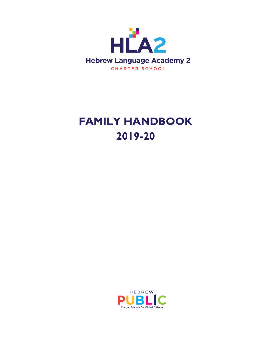

# **FAMILY HANDBOOK 2019-20**

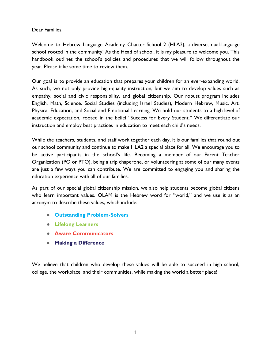# Dear Families,

Welcome to Hebrew Language Academy Charter School 2 (HLA2), a diverse, dual-language school rooted in the community! As the Head of school, it is my pleasure to welcome you. This handbook outlines the school's policies and procedures that we will follow throughout the year. Please take some time to review them.

Our goal is to provide an education that prepares your children for an ever-expanding world. As such, we not only provide high-quality instruction, but we aim to develop values such as empathy, social and civic responsibility, and global citizenship. Our robust program includes English, Math, Science, Social Studies (including Israel Studies), Modern Hebrew, Music, Art, Physical Education, and Social and Emotional Learning. We hold our students to a high level of academic expectation, rooted in the belief "Success for Every Student." We differentiate our instruction and employ best practices in education to meet each child's needs.

While the teachers, students, and staff work together each day, it is our families that round out our school community and continue to make HLA2 a special place for all. We encourage you to be active participants in the school's life. Becoming a member of our Parent Teacher Organization (PO or PTO), being a trip chaperone, or volunteering at some of our many events are just a few ways you can contribute. We are committed to engaging you and sharing the education experience with all of our families.

As part of our special global citizenship mission, we also help students become global citizens who learn important values. OLAM is the Hebrew word for "world," and we use it as an acronym to describe these values, which include:

- **Outstanding Problem-Solvers**
- **Lifelong Learners**
- **Aware Communicators**
- **Making a Difference**

We believe that children who develop these values will be able to succeed in high school, college, the workplace, and their communities, while making the world a better place!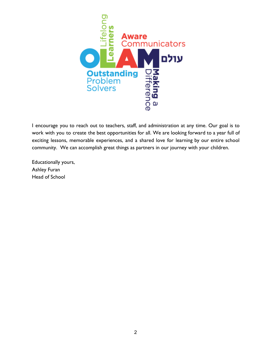

I encourage you to reach out to teachers, staff, and administration at any time. Our goal is to work with you to create the best opportunities for all. We are looking forward to a year full of exciting lessons, memorable experiences, and a shared love for learning by our entire school community. We can accomplish great things as partners in our journey with your children.

Educationally yours, Ashley Furan Head of School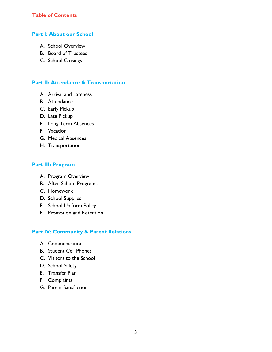# **Table of Contents**

## **Part I: About our School**

- A. School Overview
- B. Board of Trustees
- C. School Closings

# **Part II: Attendance & Transportation**

- A. Arrival and Lateness
- B. Attendance
- C. Early Pickup
- D. Late Pickup
- E. Long Term Absences
- F. Vacation
- G. Medical Absences
- H. Transportation

## **Part III: Program**

- A. Program Overview
- B. After-School Programs
- C. Homework
- D. School Supplies
- E. School Uniform Policy
- F. Promotion and Retention

# **Part IV: Community & Parent Relations**

- A. Communication
- B. Student Cell Phones
- C. Visitors to the School
- D. School Safety
- E. Transfer Plan
- F. Complaints
- G. Parent Satisfaction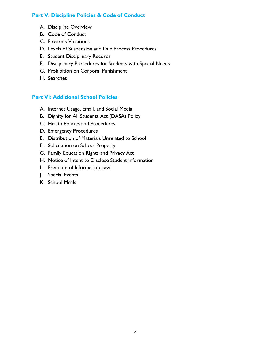# **Part V: Discipline Policies & Code of Conduct**

- A. Discipline Overview
- B. Code of Conduct
- C. Firearms Violations
- D. Levels of Suspension and Due Process Procedures
- E. Student Disciplinary Records
- F. Disciplinary Procedures for Students with Special Needs
- G. Prohibition on Corporal Punishment
- H. Searches

# **Part VI: Additional School Policies**

- A. Internet Usage, Email, and Social Media
- B. Dignity for All Students Act (DASA) Policy
- C. Health Policies and Procedures
- D. Emergency Procedures
- E. Distribution of Materials Unrelated to School
- F. Solicitation on School Property
- G. Family Education Rights and Privacy Act
- H. Notice of Intent to Disclose Student Information
- I. Freedom of Information Law
- J. Special Events
- K. School Meals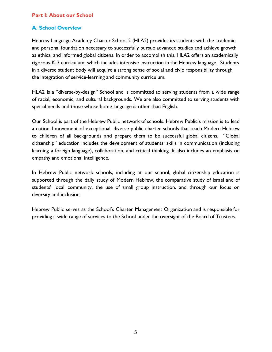# **Part I: About our School**

# **A. School Overview**

Hebrew Language Academy Charter School 2 (HLA2) provides its students with the academic and personal foundation necessary to successfully pursue advanced studies and achieve growth as ethical and informed global citizens. In order to accomplish this, HLA2 offers an academically rigorous K-3 curriculum, which includes intensive instruction in the Hebrew language. Students in a diverse student body will acquire a strong sense of social and civic responsibility through the integration of service-learning and community curriculum.

HLA2 is a "diverse-by-design" School and is committed to serving students from a wide range of racial, economic, and cultural backgrounds. We are also committed to serving students with special needs and those whose home language is other than English.

Our School is part of the Hebrew Public network of schools. Hebrew Public's mission is to lead a national movement of exceptional, diverse public charter schools that teach Modern Hebrew to children of all backgrounds and prepare them to be successful global citizens. "Global citizenship" education includes the development of students' skills in communication (including learning a foreign language), collaboration, and critical thinking. It also includes an emphasis on empathy and emotional intelligence.

In Hebrew Public network schools, including at our school, global citizenship education is supported through the daily study of Modern Hebrew, the comparative study of Israel and of students' local community, the use of small group instruction, and through our focus on diversity and inclusion.

Hebrew Public serves as the School's Charter Management Organization and is responsible for providing a wide range of services to the School under the oversight of the Board of Trustees.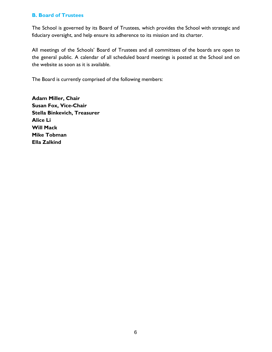# **B. Board of Trustees**

The School is governed by its Board of Trustees, which provides the School with strategic and fiduciary oversight, and help ensure its adherence to its mission and its charter.

All meetings of the Schools' Board of Trustees and all committees of the boards are open to the general public. A calendar of all scheduled board meetings is posted at the School and on the website as soon as it is available.

The Board is currently comprised of the following members:

**Adam Miller, Chair Susan Fox, Vice-Chair Stella Binkevich, Treasurer Alice Li Will Mack Mike Tobman Ella Zalkind**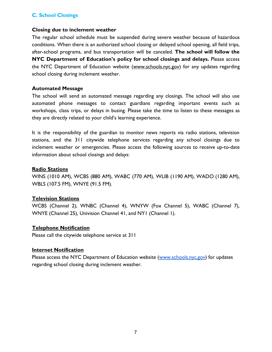# **C. School Closings**

## **Closing due to inclement weather**

The regular school schedule must be suspended during severe weather because of hazardous conditions. When there is an authorized school closing or delayed school opening, all field trips, after-school programs, and bus transportation will be canceled. **The school will follow the NYC Department of Education's policy for school closings and delays.** Please access the NYC Department of Education website [\(www.schools.nyc.gov\)](http://www.schools.nyc.gov/) for any updates regarding school closing during inclement weather.

## **Automated Message**

The school will send an automated message regarding any closings. The school will also use automated phone messages to contact guardians regarding important events such as workshops, class trips, or delays in busing. Please take the time to listen to these messages as they are directly related to your child's learning experience.

It is the responsibility of the guardian to monitor news reports via radio stations, television stations, and the 311 citywide telephone services regarding any school closings due to inclement weather or emergencies. Please access the following sources to receive up-to-date information about school closings and delays:

## **Radio Stations**

WINS (1010 AM), WCBS (880 AM), WABC (770 AM), WLIB (1190 AM), WADO (1280 AM), WBLS (107.5 FM), WNYE (91.5 FM).

## **Television Stations**

WCBS (Channel 2), WNBC (Channel 4), WNYW (Fox Channel 5), WABC (Channel 7), WNYE (Channel 25), Univision Channel 41, and NY1 (Channel 1).

## **Telephone Notification**

Please call the citywide telephone service at 311

## **Internet Notification**

Please access the NYC Department of Education website [\(www.schools.nyc.gov](http://www.schools.nyc.gov/)) for updates regarding school closing during inclement weather.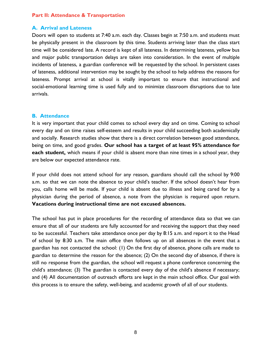# **Part II: Attendance & Transportation**

## **A. Arrival and Lateness**

Doors will open to students at 7:40 a.m. each day. Classes begin at 7:50 a.m. and students must be physically present in the classroom by this time. Students arriving later than the class start time will be considered late. A record is kept of all lateness. In determining lateness, yellow bus and major public transportation delays are taken into consideration. In the event of multiple incidents of lateness, a guardian conference will be requested by the school. In persistent cases of lateness, additional intervention may be sought by the school to help address the reasons for lateness. Prompt arrival at school is vitally important to ensure that instructional and social-emotional learning time is used fully and to minimize classroom disruptions due to late arrivals.

## **B. Attendance**

It is very important that your child comes to school every day and on time. Coming to school every day and on time raises self-esteem and results in your child succeeding both academically and socially. Research studies show that there is a direct correlation between good attendance, being on time, and good grades. **Our school has a target of at least 95% attendance for each student,** which means if your child is absent more than nine times in a school year, they are below our expected attendance rate.

If your child does not attend school for any reason, guardians should call the school by 9:00 a.m. so that we can note the absence to your child's teacher. If the school doesn't hear from you, calls home will be made. If your child is absent due to illness and being cared for by a physician during the period of absence, a note from the physician is required upon return. **Vacations during instructional time are not excused absences.**

The school has put in place procedures for the recording of attendance data so that we can ensure that all of our students are fully accounted for and receiving the support that they need to be successful. Teachers take attendance once per day by 8:15 a.m. and report it to the Head of school by 8:30 a.m. The main office then follows up on all absences in the event that a guardian has not contacted the school: (1) On the first day of absence, phone calls are made to guardian to determine the reason for the absence; (2) On the second day of absence, if there is still no response from the guardian, the school will request a phone conference concerning the child's attendance; (3) The guardian is contacted every day of the child's absence if necessary; and (4) All documentation of outreach efforts are kept in the main school office. Our goal with this process is to ensure the safety, well-being, and academic growth of all of our students.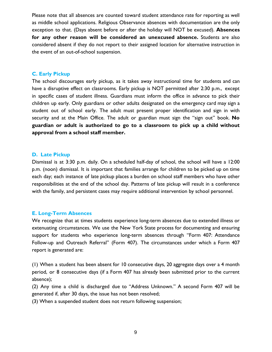Please note that all absences are counted toward student attendance rate for reporting as well as middle school applications. Religious Observance absences with documentation are the only exception to that. (Days absent before or after the holiday will NOT be excused). **Absences for any other reason will be considered an unexcused absence.** Students are also considered absent if they do not report to their assigned location for alternative instruction in the event of an out-of-school suspension.

## **C. Early Pickup**

The school discourages early pickup, as it takes away instructional time for students and can have a disruptive effect on classrooms. Early pickup is NOT permitted after 2:30 p.m., except in specific cases of student illness. Guardians must inform the office in advance to pick their children up early. Only guardians or other adults designated on the emergency card may sign a student out of school early. The adult must present proper identification and sign in with security and at the Main Office. The adult or guardian must sign the "sign out" book. **No guardian or adult is authorized to go to a classroom to pick up a child without approval from a school staff member.**

#### **D. Late Pickup**

Dismissal is at 3:30 p.m. daily. On a scheduled half-day of school, the school will have a 12:00 p.m. (noon) dismissal. It is important that families arrange for children to be picked up on time each day; each instance of late pickup places a burden on school staff members who have other responsibilities at the end of the school day. Patterns of late pickup will result in a conference with the family, and persistent cases may require additional intervention by school personnel.

#### **E. Long-Term Absences**

We recognize that at times students experience long-term absences due to extended illness or extenuating circumstances. We use the New York State process for documenting and ensuring support for students who experience long-term absences through "Form 407: Attendance Follow-up and Outreach Referral" (Form 407). The circumstances under which a Form 407 report is generated are:

(1) When a student has been absent for 10 consecutive days, 20 aggregate days over a 4 month period, or 8 consecutive days (if a Form 407 has already been submitted prior to the current absence);

(2) Any time a child is discharged due to "Address Unknown." A second Form 407 will be generated if, after 30 days, the issue has not been resolved;

(3) When a suspended student does not return following suspension;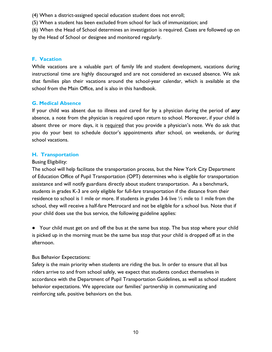- (4) When a district-assigned special education student does not enroll;
- (5) When a student has been excluded from school for lack of immunization; and
- (6) When the Head of School determines an investigation is required. Cases are followed up on by the Head of School or designee and monitored regularly.

## **F. Vacation**

While vacations are a valuable part of family life and student development, vacations during instructional time are highly discouraged and are not considered an excused absence. We ask that families plan their vacations around the school-year calendar, which is available at the school from the Main Office, and is also in this handbook.

# **G. Medical Absence**

If your child was absent due to illness and cared for by a physician during the period of **any** absence, a note from the physician is required upon return to school. Moreover, if your child is absent three or more days, it is required that you provide a physician's note. We do ask that you do your best to schedule doctor's appointments after school, on weekends, or during school vacations.

## **H. Transportation**

## Busing Eligibility:

The school will help facilitate the transportation process, but the New York City Department of Education Office of Pupil Transportation (OPT) determines who is eligible for transportation assistance and will notify guardians directly about student transportation. As a benchmark, students in grades K-3 are only eligible for full-fare transportation if the distance from their residence to school is 1 mile or more. If students in grades 3-6 live ½ mile to 1 mile from the school, they will receive a half-fare Metrocard and not be eligible for a school bus. Note that if your child does use the bus service, the following guideline applies:

● Your child must get on and off the bus at the same bus stop. The bus stop where your child is picked up in the morning must be the same bus stop that your child is dropped off at in the afternoon.

## Bus Behavior Expectations:

Safety is the main priority when students are riding the bus. In order to ensure that all bus riders arrive to and from school safely, we expect that students conduct themselves in accordance with the Department of Pupil Transportation Guidelines, as well as school student behavior expectations. We appreciate our families' partnership in communicating and reinforcing safe, positive behaviors on the bus.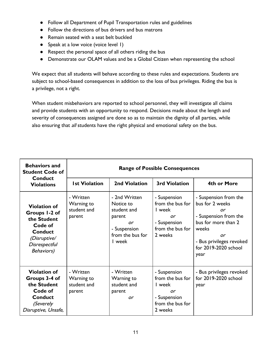- Follow all Department of Pupil Transportation rules and guidelines
- Follow the directions of bus drivers and bus matrons
- Remain seated with a seat belt buckled
- Speak at a low voice (voice level 1)
- Respect the personal space of all others riding the bus
- Demonstrate our OLAM values and be a Global Citizen when representing the school

We expect that all students will behave according to these rules and expectations. Students are subject to school-based consequences in addition to the loss of bus privileges. Riding the bus is a privilege, not a right.

When student misbehaviors are reported to school personnel, they will investigate all claims and provide students with an opportunity to respond. Decisions made about the length and severity of consequences assigned are done so as to maintain the dignity of all parties, while also ensuring that all students have the right physical and emotional safety on the bus.

| <b>Behaviors and</b><br><b>Student Code of</b>                                                                                          | <b>Range of Possible Consequences</b>            |                                                                                                         |                                                                                                 |                                                                                                                                                                           |
|-----------------------------------------------------------------------------------------------------------------------------------------|--------------------------------------------------|---------------------------------------------------------------------------------------------------------|-------------------------------------------------------------------------------------------------|---------------------------------------------------------------------------------------------------------------------------------------------------------------------------|
| <b>Conduct</b><br><b>Violations</b>                                                                                                     | <b>Ist Violation</b>                             | 2nd Violation                                                                                           | <b>3rd Violation</b>                                                                            | 4th or More                                                                                                                                                               |
| <b>Violation of</b><br>Groups 1-2 of<br>the Student<br>Code of<br><b>Conduct</b><br>(Disruptive/<br>Disrespectful<br><b>Behaviors</b> ) | - Written<br>Warning to<br>student and<br>parent | - 2nd Written<br>Notice to<br>student and<br>parent<br>or<br>- Suspension<br>from the bus for<br>I week | - Suspension<br>from the bus for<br>I week<br>or<br>- Suspension<br>from the bus for<br>2 weeks | - Suspension from the<br>bus for 2 weeks<br>or<br>- Suspension from the<br>bus for more than 2<br>weeks<br>or<br>- Bus privileges revoked<br>for 2019-2020 school<br>year |
| <b>Violation of</b><br>Groups 3-4 of<br>the Student<br>Code of<br><b>Conduct</b><br><i>(Severely</i><br>Disruptive, Unsafe,             | - Written<br>Warning to<br>student and<br>parent | - Written<br>Warning to<br>student and<br>parent<br>or                                                  | - Suspension<br>from the bus for<br>l week<br>or<br>- Suspension<br>from the bus for<br>2 weeks | - Bus privileges revoked<br>for 2019-2020 school<br>year                                                                                                                  |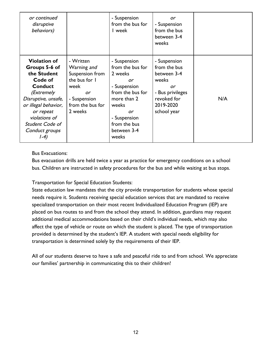| or continued<br>disruptive<br>behaviors) |                  | - Suspension<br>from the bus for<br>I week | or<br>- Suspension<br>from the bus<br>between 3-4<br>weeks |     |
|------------------------------------------|------------------|--------------------------------------------|------------------------------------------------------------|-----|
| <b>Violation of</b>                      | - Written        | - Suspension                               | - Suspension                                               |     |
| Groups 5-6 of                            | Warning and      | from the bus for                           | from the bus                                               |     |
| the Student                              | Suspension from  | 2 weeks                                    | between 3-4                                                |     |
| Code of                                  | the bus for I    | or                                         | weeks                                                      |     |
| Conduct                                  | week             | - Suspension                               | or                                                         |     |
| (Extremely                               | or               | from the bus for                           | - Bus privileges                                           |     |
| Disruptive, unsafe,                      | - Suspension     | more than 2                                | revoked for                                                | N/A |
| or illegal behavior,                     | from the bus for | weeks                                      | 2019-2020                                                  |     |
| or repeat                                | 2 weeks          | or                                         | school year                                                |     |
| violations of                            |                  | - Suspension                               |                                                            |     |
| Student Code of                          |                  | from the bus                               |                                                            |     |
| Conduct groups                           |                  | between 3-4                                |                                                            |     |
| l-4)                                     |                  | weeks                                      |                                                            |     |

Bus Evacuations:

Bus evacuation drills are held twice a year as practice for emergency conditions on a school bus. Children are instructed in safety procedures for the bus and while waiting at bus stops.

Transportation for Special Education Students:

State education law mandates that the city provide transportation for students whose special needs require it. Students receiving special education services that are mandated to receive specialized transportation on their most recent Individualized Education Program (IEP) are placed on bus routes to and from the school they attend. In addition, guardians may request additional medical accommodations based on their child's individual needs, which may also affect the type of vehicle or route on which the student is placed. The type of transportation provided is determined by the student's IEP. A student with special needs eligibility for transportation is determined solely by the requirements of their IEP.

All of our students deserve to have a safe and peaceful ride to and from school. We appreciate our families' partnership in communicating this to their children!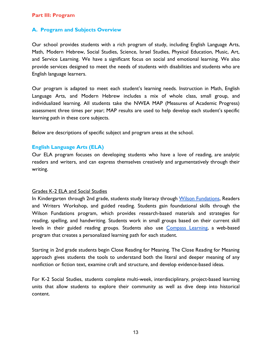## **Part III: Program**

# **A. Program and Subjects Overview**

Our school provides students with a rich program of study, including English Language Arts, Math, Modern Hebrew, Social Studies, Science, Israel Studies, Physical Education, Music, Art, and Service Learning. We have a significant focus on social and emotional learning. We also provide services designed to meet the needs of students with disabilities and students who are English language learners.

Our program is adapted to meet each student's learning needs. Instruction in Math, English Language Arts, and Modern Hebrew includes a mix of whole class, small group, and individualized learning. All students take the NWEA MAP (Measures of Academic Progress) assessment three times per year; MAP results are used to help develop each student's specific learning path in these core subjects.

Below are descriptions of specific subject and program areas at the school.

#### **English Language Arts (ELA)**

Our ELA program focuses on developing students who have a love of reading, are analytic readers and writers, and can express themselves creatively and argumentatively through their writing.

#### Grades K-2 ELA and Social Studies

In Kindergarten through 2nd grade, students study literacy through Wilson [Fundations](http://www.wilsonlanguage.com/programs/fundations/), Readers and Writers Workshop, and guided reading. Students gain foundational skills through the Wilson Fundations program, which provides research-based materials and strategies for reading, spelling, and handwriting. Students work in small groups based on their current skill levels in their guided reading groups. Students also use [Compass](https://www.edgenuity.com/edgenuity-and-compass/) Learning, a web-based program that creates a personalized learning path for each student.

Starting in 2nd grade students begin Close Reading for Meaning. The Close Reading for Meaning approach gives students the tools to understand both the literal and deeper meaning of any nonfiction or fiction text, examine craft and structure, and develop evidence-based ideas.

For K-2 Social Studies, students complete multi-week, interdisciplinary, project-based learning units that allow students to explore their community as well as dive deep into historical content.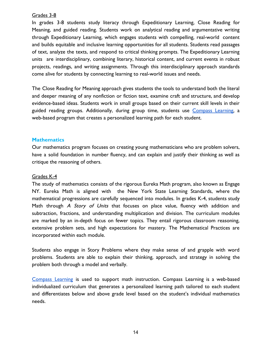## Grades 3-8

In grades 3-8 students study literacy through Expeditionary Learning, Close Reading for Meaning, and guided reading. Students work on analytical reading and argumentative writing through Expeditionary Learning, which engages students with compelling, real-world content and builds equitable and inclusive learning opportunities for all students. Students read passages of text, analyze the texts, and respond to critical thinking prompts. The Expeditionary Learning units are interdisciplinary, combining literary, historical content, and current events in robust projects, readings, and writing assignments. Through this interdisciplinary approach standards come alive for students by connecting learning to real-world issues and needs.

The Close Reading for Meaning approach gives students the tools to understand both the literal and deeper meaning of any nonfiction or fiction text, examine craft and structure, and develop evidence-based ideas. Students work in small groups based on their current skill levels in their guided reading groups. Additionally, during group time, students use [Compass](https://www.edgenuity.com/edgenuity-and-compass/) Learning, a web-based program that creates a personalized learning path for each student.

# **Mathematics**

Our mathematics program focuses on creating young mathematicians who are problem solvers, have a solid foundation in number fluency, and can explain and justify their thinking as well as critique the reasoning of others.

## Grades K-4

The study of mathematics consists of the rigorous Eureka Math program, also known as Engage NY. Eureka Math is aligned with the New York State Learning Standards, where the mathematical progressions are carefully sequenced into modules. In grades K-4, students study Math through A Story of Units that focuses on place value, fluency with addition and subtraction, fractions, and understanding multiplication and division. The curriculum modules are marked by an in-depth focus on fewer topics. They entail rigorous classroom reasoning, extensive problem sets, and high expectations for mastery. The Mathematical Practices are incorporated within each module.

Students also engage in Story Problems where they make sense of and grapple with word problems. Students are able to explain their thinking, approach, and strategy in solving the problem both through a model and verbally.

[Compass](https://www.edgenuity.com/edgenuity-and-compass/) Learning is used to support math instruction. Compass Learning is a web-based individualized curriculum that generates a personalized learning path tailored to each student and differentiates below and above grade level based on the student's individual mathematics needs.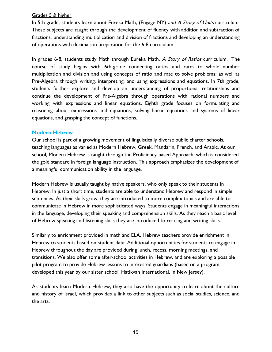# Grades 5 & higher

In 5th grade, students learn about Eureka Math, (Engage NY) and A Story of Units curriculum. These subjects are taught through the development of fluency with addition and subtraction of fractions, understanding multiplication and division of fractions and developing an understanding of operations with decimals in preparation for the 6-8 curriculum.

In grades 6-8, students study Math through Eureka Math, A Story of Ratios curriculum. The course of study begins with 6th-grade connecting ratios and rates to whole number multiplication and division and using concepts of ratio and rate to solve problems; as well as Pre-Algebra through writing, interpreting, and using expressions and equations. In 7th grade, students further explore and develop an understanding of proportional relationships and continue the development of Pre-Algebra through operations with rational numbers and working with expressions and linear equations. Eighth grade focuses on formulating and reasoning about expressions and equations, solving linear equations and systems of linear equations, and grasping the concept of functions.

# **Modern Hebrew**

Our school is part of a growing movement of linguistically diverse public charter schools, teaching languages as varied as Modern Hebrew, Greek, Mandarin, French, and Arabic. At our school, Modern Hebrew is taught through the Proficiency-based Approach, which is considered the gold standard in foreign language instruction. This approach emphasizes the development of a meaningful communication ability in the language.

Modern Hebrew is usually taught by native speakers, who only speak to their students in Hebrew. In just a short time, students are able to understand Hebrew and respond in simple sentences. As their skills grow, they are introduced to more complex topics and are able to communicate in Hebrew in more sophisticated ways. Students engage in meaningful interactions in the language, developing their speaking and comprehension skills. As they reach a basic level of Hebrew speaking and listening skills they are introduced to reading and writing skills.

Similarly to enrichment provided in math and ELA, Hebrew teachers provide enrichment in Hebrew to students based on student data. Additional opportunities for students to engage in Hebrew throughout the day are provided during lunch, recess, morning meetings, and transitions. We also offer some after-school activities in Hebrew, and are exploring a possible pilot program to provide Hebrew lessons to interested guardians (based on a program developed this year by our sister school, Hatikvah International, in New Jersey).

As students learn Modern Hebrew, they also have the opportunity to learn about the culture and history of Israel, which provides a link to other subjects such as social studies, science, and the arts.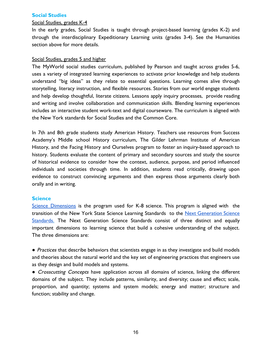## **Social Studies**

#### Social Studies, grades K-4

In the early grades, Social Studies is taught through project-based learning (grades K-2) and through the interdisciplinary Expeditionary Learning units (grades 3-4). See the Humanities section above for more details.

## Social Studies, grades 5 and higher

The MyWorld social studies curriculum, published by Pearson and taught across grades 5-6, uses a variety of integrated learning experiences to activate prior knowledge and help students understand "big ideas" as they relate to essential questions. Learning comes alive through storytelling, literacy instruction, and flexible resources. Stories from our world engage students and help develop thoughtful, literate citizens. Lessons apply inquiry processes, provide reading and writing and involve collaboration and communication skills. Blending learning experiences includes an interactive student work-text and digital courseware. The curriculum is aligned with the New York standards for Social Studies and the Common Core.

In 7th and 8th grade students study American History. Teachers use resources from Success Academy's Middle school History curriculum, The Gilder Lehrman Institute of American History, and the Facing History and Ourselves program to foster an inquiry-based approach to history. Students evaluate the content of primary and secondary sources and study the source of historical evidence to consider how the context, audience, purpose, and period influenced individuals and societies through time. In addition, students read critically, drawing upon evidence to construct convincing arguments and then express those arguments clearly both orally and in writing.

#### **Science**

Science [Dimensions](http://www.hmhco.com/shop/education-curriculum/science/science-dimensions) is the program used for K-8 science. This program is aligned with the transition of the New York State Science Learning Standards to th[e](https://www.nextgenscience.org/) Next [Generation](https://www.nextgenscience.org/) Science [Standards](https://www.nextgenscience.org/). The Next Generation Science Standards consist of three distinct and equally important dimensions to learning science that build a cohesive understanding of the subject. The three dimensions are:

• Practices that describe behaviors that scientists engage in as they investigate and build models and theories about the natural world and the key set of engineering practices that engineers use as they design and build models and systems.

• Crosscutting Concepts have application across all domains of science, linking the different domains of the subject. They include patterns, similarity, and diversity; cause and effect; scale, proportion, and quantity; systems and system models; energy and matter; structure and function; stability and change.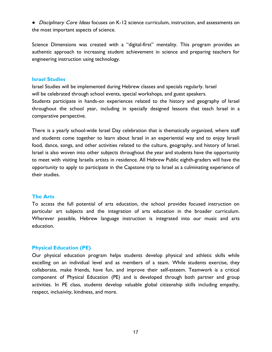● *Disciplinary Core Ideas* focuses on K-12 science curriculum, instruction, and assessments on the most important aspects of science.

Science Dimensions was created with a "digital-first" mentality. This program provides an authentic approach to increasing student achievement in science and preparing teachers for engineering instruction using technology.

## **Israel Studies**

Israel Studies will be implemented during Hebrew classes and specials regularly. Israel will be celebrated through school events, special workshops, and guest speakers. Students participate in hands-on experiences related to the history and geography of Israel throughout the school year, including in specially designed lessons that teach Israel in a comparative perspective.

There is a yearly school-wide Israel Day celebration that is thematically organized, where staff and students come together to learn about Israel in an experiential way and to enjoy Israeli food, dance, songs, and other activities related to the culture, geography, and history of Israel. Israel is also woven into other subjects throughout the year and students have the opportunity to meet with visiting Israelis artists in residence. All Hebrew Public eighth-graders will have the opportunity to apply to participate in the Capstone trip to Israel as a culminating experience of their studies.

# **The Arts**

To access the full potential of arts education, the school provides focused instruction on particular art subjects and the integration of arts education in the broader curriculum. Wherever possible, Hebrew language instruction is integrated into our music and arts education.

# **Physical Education (PE)**

Our physical education program helps students develop physical and athletic skills while excelling on an individual level and as members of a team. While students exercise, they collaborate, make friends, have fun, and improve their self-esteem. Teamwork is a critical component of Physical Education (PE) and is developed through both partner and group activities. In PE class, students develop valuable global citizenship skills including empathy, respect, inclusivity, kindness, and more.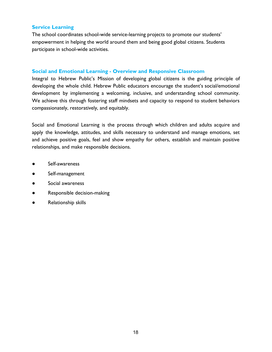# **Service Learning**

The school coordinates school-wide service-learning projects to promote our students' empowerment in helping the world around them and being good global citizens. Students participate in school-wide activities.

# **Social and Emotional Learning - Overview and Responsive Classroom**

Integral to Hebrew Public's Mission of developing global citizens is the guiding principle of developing the whole child. Hebrew Public educators encourage the student's social/emotional development by implementing a welcoming, inclusive, and understanding school community. We achieve this through fostering staff mindsets and capacity to respond to student behaviors compassionately, restoratively, and equitably.

Social and Emotional Learning is the process through which children and adults acquire and apply the knowledge, attitudes, and skills necessary to understand and manage emotions, set and achieve positive goals, feel and show empathy for others, establish and maintain positive relationships, and make responsible decisions.

- Self-awareness
- Self-management
- Social awareness
- Responsible decision-making
- **Relationship skills**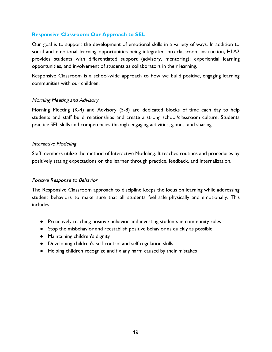# **Responsive Classroom: Our Approach to SEL**

Our goal is to support the development of emotional skills in a variety of ways. In addition to social and emotional learning opportunities being integrated into classroom instruction, HLA2 provides students with differentiated support (advisory, mentoring); experiential learning opportunities, and involvement of students as collaborators in their learning.

Responsive Classroom is a school-wide approach to how we build positive, engaging learning communities with our children.

# Morning Meeting and Advisory

Morning Meeting (K-4) and Advisory (5-8) are dedicated blocks of time each day to help students and staff build relationships and create a strong school/classroom culture. Students practice SEL skills and competencies through engaging activities, games, and sharing.

## Interactive Modeling

Staff members utilize the method of Interactive Modeling. It teaches routines and procedures by positively stating expectations on the learner through practice, feedback, and internalization.

## Positive Response to Behavior

The Responsive Classroom approach to discipline keeps the focus on learning while addressing student behaviors to make sure that all students feel safe physically and emotionally. This includes:

- Proactively teaching positive behavior and investing students in community rules
- Stop the misbehavior and reestablish positive behavior as quickly as possible
- Maintaining children's dignity
- Developing children's self-control and self-regulation skills
- Helping children recognize and fix any harm caused by their mistakes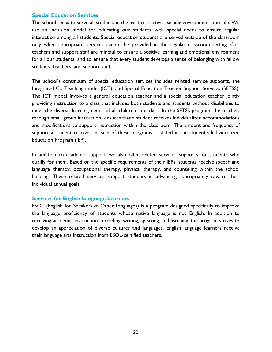## **Special Education Services**

The school seeks to serve all students in the least restrictive learning environment possible. We use an inclusion model for educating our students with special needs to ensure regular interaction among all students. Special education students are served outside of the classroom only when appropriate services cannot be provided in the regular classroom setting. Our teachers and support staff are mindful to ensure a positive learning and emotional environment for all our students, and to ensure that every student develops a sense of belonging with fellow students, teachers, and support staff.

The school's continuum of special education services includes related service supports, the Integrated Co-Teaching model (ICT), and Special Education Teacher Support Services (SETSS). The ICT model involves a general education teacher and a special education teacher jointly providing instruction to a class that includes both students and students without disabilities to meet the diverse learning needs of all children in a class. In the SETSS program, the teacher, through small group instruction, ensures that a student receives individualized accommodations and modifications to support instruction within the classroom. The amount and frequency of support a student receives in each of these programs is stated in the student's Individualized Education Program (IEP).

In addition to academic support, we also offer related service supports for students who qualify for them. Based on the specific requirements of their IEPs, students receive speech and language therapy, occupational therapy, physical therapy, and counseling within the school building. These related services support students in advancing appropriately toward their individual annual goals.

## **Services for English Language Learners**

ESOL (English for Speakers of Other Languages) is a program designed specifically to improve the language proficiency of students whose native language is not English. In addition to receiving academic instruction in reading, writing, speaking, and listening, the program strives to develop an appreciation of diverse cultures and languages. English language learners receive their language arts instruction from ESOL-certified teachers.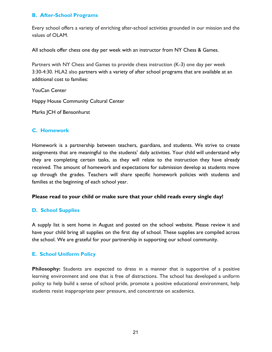# **B. After-School Programs**

Every school offers a variety of enriching after-school activities grounded in our mission and the values of OLAM.

All schools offer chess one day per week with an instructor from NY Chess & Games.

Partners with NY Chess and Games to provide chess instruction (K-3) one day per week 3:30-4:30. HLA2 also partners with a variety of after school programs that are available at an additional cost to families:

YouCan Center

Happy House Community Cultural Center

Marks JCH of Bensonhurst

# **C. Homework**

Homework is a partnership between teachers, guardians, and students. We strive to create assignments that are meaningful to the students' daily activities. Your child will understand why they are completing certain tasks, as they will relate to the instruction they have already received. The amount of homework and expectations for submission develop as students move up through the grades. Teachers will share specific homework policies with students and families at the beginning of each school year.

# **Please read to your child or make sure that your child reads every single day!**

# **D. School Supplies**

A supply list is sent home in August and posted on the school website. Please review it and have your child bring all supplies on the first day of school. These supplies are compiled across the school. We are grateful for your partnership in supporting our school community.

# **E. School Uniform Policy**

**Philosophy:** Students are expected to dress in a manner that is supportive of a positive learning environment and one that is free of distractions. The school has developed a uniform policy to help build a sense of school pride, promote a positive educational environment, help students resist inappropriate peer pressure, and concentrate on academics.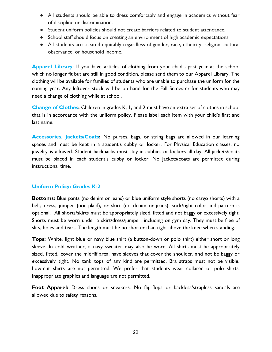- All students should be able to dress comfortably and engage in academics without fear of discipline or discrimination.
- Student uniform policies should not create barriers related to student attendance.
- School staff should focus on creating an environment of high academic expectations.
- All students are treated equitably regardless of gender, race, ethnicity, religion, cultural observance, or household income.

**Apparel Library**: If you have articles of clothing from your child's past year at the school which no longer fit but are still in good condition, please send them to our Apparel Library. The clothing will be available for families of students who are unable to purchase the uniform for the coming year. Any leftover stock will be on hand for the Fall Semester for students who may need a change of clothing while at school.

**Change of Clothes:** Children in grades K, 1, and 2 must have an extra set of clothes in school that is in accordance with the uniform policy. Please label each item with your child's first and last name.

**Accessories, Jackets/Coats:** No purses, bags, or string bags are allowed in our learning spaces and must be kept in a student's cubby or locker. For Physical Education classes, no jewelry is allowed. Student backpacks must stay in cubbies or lockers all day. All jackets/coats must be placed in each student's cubby or locker. No jackets/coats are permitted during instructional time.

# **Uniform Policy: Grades K-2**

**Bottoms:** Blue pants (no denim or jeans) or blue uniform style shorts (no cargo shorts) with a belt; dress, jumper (not plaid), or skirt (no denim or jeans); sock/tight color and pattern is optional. All shorts/skirts must be appropriately sized, fitted and not baggy or excessively tight. Shorts must be worn under a skirt/dress/jumper, including on gym day. They must be free of slits, holes and tears. The length must be no shorter than right above the knee when standing.

**Tops:** White, light blue or navy blue shirt (a button-down or polo shirt) either short or long sleeve. In cold weather, a navy sweater may also be worn. All shirts must be appropriately sized, fitted, cover the midriff area, have sleeves that cover the shoulder, and not be baggy or excessively tight. No tank tops of any kind are permitted. Bra straps must not be visible. Low-cut shirts are not permitted. We prefer that students wear collared or polo shirts. Inappropriate graphics and language are not permitted.

**Foot Apparel:** Dress shoes or sneakers. No flip-flops or backless/strapless sandals are allowed due to safety reasons.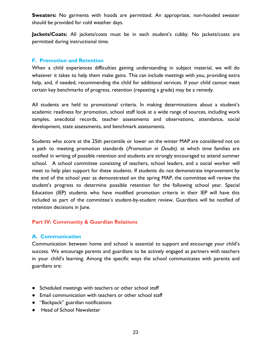**Sweaters:** No garments with hoods are permitted. An appropriate, non-hooded sweater should be provided for cold weather days.

Jackets/Coats: All jackets/coats must be in each student's cubby. No jackets/coats are permitted during instructional time.

# **F. Promotion and Retention**

When a child experiences difficulties gaining understanding in subject material, we will do whatever it takes to help them make gains. This can include meetings with you, providing extra help, and, if needed, recommending the child for additional services. If your child cannot meet certain key benchmarks of progress, retention (repeating a grade) may be a remedy.

All students are held to promotional criteria. In making determinations about a student's academic readiness for promotion, school staff look at a wide range of sources, including work samples, anecdotal records, teacher assessments and observations, attendance, social development, state assessments, and benchmark assessments.

Students who score at the 25th percentile or lower on the winter MAP are considered not on a path to meeting promotion standards (*Promotion in Doubt*), at which time families are notified in writing of possible retention and students are strongly encouraged to attend summer school. A school committee consisting of teachers, school leaders, and a social worker will meet to help plan support for these students. If students do not demonstrate improvement by the end of the school year as demonstrated on the spring MAP, the committee will review the student's progress to determine possible retention for the following school year. Special Education (IEP) students who have modified promotion criteria in their IEP will have this included as part of the committee's student-by-student review. Guardians will be notified of retention decisions in June.

# **Part IV: Community & Guardian Relations**

# **A. Communication**

Communication between home and school is essential to support and encourage your child's success. We encourage parents and guardians to be actively engaged as partners with teachers in your child's learning. Among the specific ways the school communicates with parents and guardians are:

- Scheduled meetings with teachers or other school staff
- Email communication with teachers or other school staff
- "Backpack" guardian notifications
- Head of School Newsletter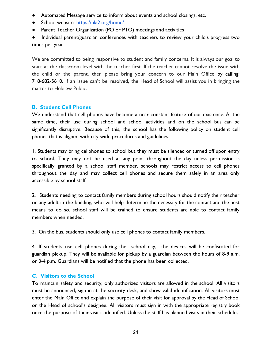- Automated Message service to inform about events and school closings, etc.
- School website: <https://hla2.org/home/>
- Parent Teacher Organization (PO or PTO) meetings and activities
- Individual parent/guardian conferences with teachers to review your child's progress two times per year

We are committed to being responsive to student and family concerns. It is always our goal to start at the classroom level with the teacher first. If the teacher cannot resolve the issue with the child or the parent, then please bring your concern to our Main Office by calling: 718-682-5610. If an issue can't be resolved, the Head of School will assist you in bringing the matter to Hebrew Public.

# **B. Student Cell Phones**

We understand that cell phones have become a near-constant feature of our existence. At the same time, their use during school and school activities and on the school bus can be significantly disruptive. Because of this, the school has the following policy on student cell phones that is aligned with city-wide procedures and guidelines:

1. Students may bring cellphones to school but they must be silenced or turned off upon entry to school. They may not be used at any point throughout the day unless permission is specifically granted by a school staff member. schools may restrict access to cell phones throughout the day and may collect cell phones and secure them safely in an area only accessible by school staff.

2. Students needing to contact family members during school hours should notify their teacher or any adult in the building, who will help determine the necessity for the contact and the best means to do so. school staff will be trained to ensure students are able to contact family members when needed.

3. On the bus, students should only use cell phones to contact family members.

4. If students use cell phones during the school day, the devices will be confiscated for guardian pickup. They will be available for pickup by a guardian between the hours of 8-9 a.m. or 3-4 p.m. Guardians will be notified that the phone has been collected.

# **C. Visitors to the School**

To maintain safety and security, only authorized visitors are allowed in the school. All visitors must be announced, sign in at the security desk, and show valid identification. All visitors must enter the Main Office and explain the purpose of their visit for approval by the Head of School or the Head of school's designee. All visitors must sign in with the appropriate registry book once the purpose of their visit is identified. Unless the staff has planned visits in their schedules,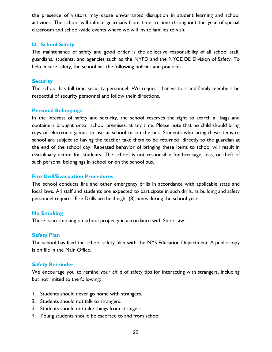the presence of visitors may cause unwarranted disruption in student learning and school activities. The school will inform guardians from time to time throughout the year of special classroom and school-wide events where we will invite families to visit

# **D. School Safety**

The maintenance of safety and good order is the collective responsibility of all school staff, guardians, students, and agencies such as the NYPD and the NYCDOE Division of Safety. To help ensure safety, the school has the following policies and practices:

## **Security**

The school has full-time security personnel. We request that visitors and family members be respectful of security personnel and follow their directions.

# **Personal Belongings**

In the interest of safety and security, the school reserves the right to search all bags and containers brought onto school premises, at any time. Please note that no child should bring toys or electronic games to use at school or on the bus. Students who bring these items to school are subject to having the teacher take them to be returned directly to the guardian at the end of the school day. Repeated behavior of bringing these items to school will result in disciplinary action for students. The school is not responsible for breakage, loss, or theft of such personal belongings in school or on the school bus.

## **Fire Drill/Evacuation Procedures**

The school conducts fire and other emergency drills in accordance with applicable state and local laws. All staff and students are expected to participate in such drills, as building and safety personnel require. Fire Drills are held eight (8) times during the school year.

## **No Smoking**

There is no smoking on school property in accordance with State Law.

## **Safety Plan**

The school has filed the school safety plan with the NYS Education Department. A public copy is on file in the Main Office.

# **Safety Reminder**

We encourage you to remind your child of safety tips for interacting with strangers, including but not limited to the following:

- 1. Students should never go home with strangers.
- 2. Students should not talk to strangers.
- 3. Students should not take things from strangers.
- 4. Young students should be escorted to and from school.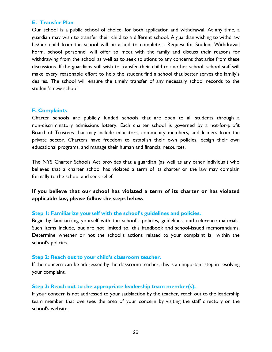## **E. Transfer Plan**

Our school is a public school of choice, for both application and withdrawal. At any time, a guardian may wish to transfer their child to a different school. A guardian wishing to withdraw his/her child from the school will be asked to complete a Request for Student Withdrawal Form. school personnel will offer to meet with the family and discuss their reasons for withdrawing from the school as well as to seek solutions to any concerns that arise from these discussions. If the guardians still wish to transfer their child to another school, school staff will make every reasonable effort to help the student find a school that better serves the family's desires. The school will ensure the timely transfer of any necessary school records to the student's new school.

## **F. Complaints**

Charter schools are publicly funded schools that are open to all students through a non-discriminatory admissions lottery. Each charter school is governed by a not-for-profit Board of Trustees that may include educators, community members, and leaders from the private sector. Charters have freedom to establish their own policies, design their own educational programs, and manage their human and financial resources.

The [N](http://www.p12.nysed.gov/psc/law.html)YS [Charter](http://www.p12.nysed.gov/psc/law.html) Schools Act provides that a guardian (as well as any other individual) who believes that a charter school has violated a term of its charter or the law may complain formally to the school and seek relief.

**If you believe that our school has violated a term of its charter or has violated applicable law, please follow the steps below.**

#### **Step 1: Familiarize yourself with the school's guidelines and policies.**

Begin by familiarizing yourself with the school's policies, guidelines, and reference materials. Such items include, but are not limited to, this handbook and school-issued memorandums. Determine whether or not the school's actions related to your complaint fall within the school's policies.

#### **Step 2: Reach out to your child's classroom teacher.**

If the concern can be addressed by the classroom teacher, this is an important step in resolving your complaint.

## **Step 3: Reach out to the appropriate leadership team member(s).**

If your concern is not addressed to your satisfaction by the teacher, reach out to the leadership team member that oversees the area of your concern by visiting the staff directory on the school's website.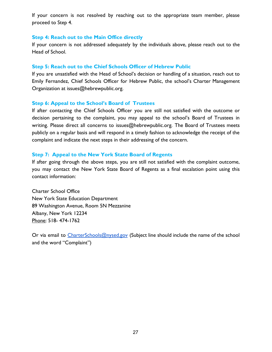If your concern is not resolved by reaching out to the appropriate team member, please proceed to Step 4.

## **Step 4: Reach out to the Main Office directly**

If your concern is not addressed adequately by the individuals above, please reach out to the Head of School.

## **Step 5: Reach out to the Chief Schools Officer of Hebrew Public**

If you are unsatisfied with the Head of School's decision or handling of a situation, reach out to Emily Fernandez, Chief Schools Officer for Hebrew Public, the school's Charter Management Organization at issues@hebrewpublic.org.

## **Step 6: Appeal to the School's Board of Trustees**

If after contacting the Chief Schools Officer you are still not satisfied with the outcome or decision pertaining to the complaint, you may appeal to the school's Board of Trustees in writing. Please direct all concerns to issues@hebrewpublic.org. The Board of Trustees meets publicly on a regular basis and will respond in a timely fashion to acknowledge the receipt of the complaint and indicate the next steps in their addressing of the concern.

## **Step 7: Appeal to the New York State Board of Regents**

If after going through the above steps, you are still not satisfied with the complaint outcome, you may contact the New York State Board of Regents as a final escalation point using this contact information:

Charter School Office New York State Education Department 89 Washington Avenue, Room 5N Mezzanine Albany, New York 12234 Phone: 518- 474-1762

Or via email to [CharterSchools@nysed.gov](mailto:CharterSchools@nysed.gov) (Subject line should include the name of the school and the word "Complaint")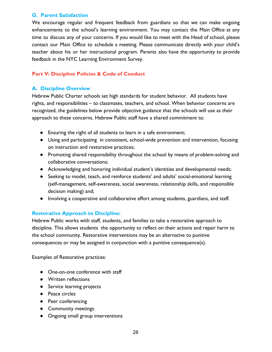# **G. Parent Satisfaction**

We encourage regular and frequent feedback from guardians so that we can make ongoing enhancements to the school's learning environment. You may contact the Main Office at any time to discuss any of your concerns. If you would like to meet with the Head of school, please contact our Main Office to schedule a meeting. Please communicate directly with your child's teacher about his or her instructional program. Parents also have the opportunity to provide feedback in the NYC Learning Environment Survey.

# **Part V: Discipline Policies & Code of Conduct**

# **A. Discipline Overview**

Hebrew Public Charter schools set high standards for student behavior. All students have rights, and responsibilities – to classmates, teachers, and school. When behavior concerns are recognized, the guidelines below provide objective guidance that the schools will use as their approach to these concerns. Hebrew Public staff have a shared commitment to:

- Ensuring the right of all students to learn in a safe environment;
- Using and participating in consistent, school-wide prevention and intervention, focusing on instruction and restorative practices;
- Promoting shared responsibility throughout the school by means of problem-solving and collaborative conversations;
- Acknowledging and honoring individual student's identities and developmental needs;
- Seeking to model, teach, and reinforce students' and adults' social-emotional learning (self-management, self-awareness, social awareness, relationship skills, and responsible decision making) and;
- Involving a cooperative and collaborative effort among students, guardians, and staff.

# **Restorative Approach to Discipline:**

Hebrew Public works with staff, students, and families to take a restorative approach to discipline. This allows students the opportunity to reflect on their actions and repair harm to the school community. Restorative interventions may be an alternative to punitive consequences or may be assigned in conjunction with a punitive consequence(s).

Examples of Restorative practices:

- One-on-one conference with staff
- Written reflections
- Service learning projects
- Peace circles
- Peer conferencing
- Community meetings
- Ongoing small group interventions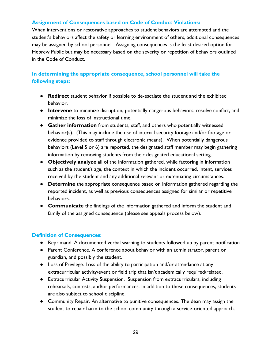# **Assignment of Consequences based on Code of Conduct Violations:**

When interventions or restorative approaches to student behaviors are attempted and the student's behaviors affect the safety or learning environment of others, additional consequences may be assigned by school personnel. Assigning consequences is the least desired option for Hebrew Public but may be necessary based on the severity or repetition of behaviors outlined in the Code of Conduct.

# **In determining the appropriate consequence, school personnel will take the following steps:**

- **Redirect** student behavior if possible to de-escalate the student and the exhibited behavior.
- **Intervene** to minimize disruption, potentially dangerous behaviors, resolve conflict, and minimize the loss of instructional time.
- **Gather information** from students, staff, and others who potentially witnessed behavior(s). (This may include the use of internal security footage and/or footage or evidence provided to staff through electronic means). When potentially dangerous behaviors (Level 5 or 6) are reported, the designated staff member may begin gathering information by removing students from their designated educational setting.
- **Objectively analyze** all of the information gathered, while factoring in information such as the student's age, the context in which the incident occurred, intent, services received by the student and any additional relevant or extenuating circumstances.
- **● Determine** the appropriate consequence based on information gathered regarding the reported incident, as well as previous consequences assigned for similar or repetitive behaviors.
- **Communicate** the findings of the information gathered and inform the student and family of the assigned consequence (please see appeals process below).

# **Definition of Consequences:**

- Reprimand. A documented verbal warning to students followed up by parent notification
- Parent Conference. A conference about behavior with an administrator, parent or guardian, and possibly the student.
- Loss of Privilege. Loss of the ability to participation and/or attendance at any extracurricular activity/event or field trip that isn't academically required/related.
- Extracurricular Activity Suspension. Suspension from extracurriculars, including rehearsals, contests, and/or performances. In addition to these consequences, students are also subject to school discipline.
- Community Repair. An alternative to punitive consequences. The dean may assign the student to repair harm to the school community through a service-oriented approach.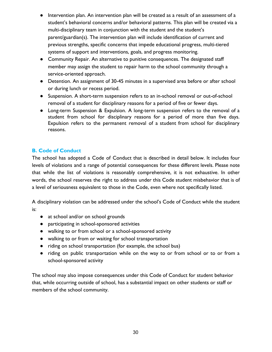- Intervention plan. An intervention plan will be created as a result of an assessment of a student's behavioral concerns and/or behavioral patterns. This plan will be created via a multi-disciplinary team in conjunction with the student and the student's parent/guardian(s). The intervention plan will include identification of current and previous strengths, specific concerns that impede educational progress, multi-tiered systems of support and interventions, goals, and progress monitoring.
- Community Repair. An alternative to punitive consequences. The designated staff member may assign the student to repair harm to the school community through a service-oriented approach.
- Detention. An assignment of 30-45 minutes in a supervised area before or after school or during lunch or recess period.
- Suspension. A short-term suspension refers to an in-school removal or out-of-school removal of a student for disciplinary reasons for a period of five or fewer days.
- Long-term Suspension & Expulsion. A long-term suspension refers to the removal of a student from school for disciplinary reasons for a period of more than five days. Expulsion refers to the permanent removal of a student from school for disciplinary reasons.

# **B. Code of Conduct**

The school has adopted a Code of Conduct that is described in detail below. It includes four levels of violations and a range of potential consequences for these different levels. Please note that while the list of violations is reasonably comprehensive, it is not exhaustive. In other words, the school reserves the right to address under this Code student misbehavior that is of a level of seriousness equivalent to those in the Code, even where not specifically listed.

A disciplinary violation can be addressed under the school's Code of Conduct while the student is:

- at school and/or on school grounds
- participating in school-sponsored activities
- walking to or from school or a school-sponsored activity
- walking to or from or waiting for school transportation
- riding on school transportation (for example, the school bus)
- riding on public transportation while on the way to or from school or to or from a school-sponsored activity

The school may also impose consequences under this Code of Conduct for student behavior that, while occurring outside of school, has a substantial impact on other students or staff or members of the school community.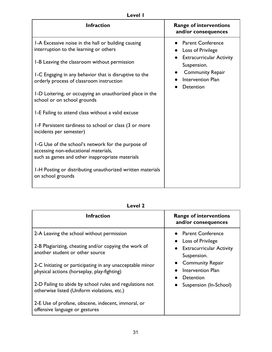# **Level 1**

| <b>Infraction</b>                                                                                                                             | <b>Range of interventions</b><br>and/or consequences             |
|-----------------------------------------------------------------------------------------------------------------------------------------------|------------------------------------------------------------------|
| 1-A Excessive noise in the hall or building causing<br>interruption to the learning or others                                                 | • Parent Conference<br>Loss of Privilege                         |
| 1-B Leaving the classroom without permission                                                                                                  | <b>Extracurricular Activity</b><br>Suspension.                   |
| I-C Engaging in any behavior that is disruptive to the<br>orderly process of classroom instruction                                            | <b>Community Repair</b><br><b>Intervention Plan</b><br>Detention |
| I-D Loitering, or occupying an unauthorized place in the<br>school or on school grounds                                                       |                                                                  |
| 1-E Failing to attend class without a valid excuse                                                                                            |                                                                  |
| 1-F Persistent tardiness to school or class (3 or more<br>incidents per semester)                                                             |                                                                  |
| 1-G Use of the school's network for the purpose of<br>accessing non-educational materials,<br>such as games and other inappropriate materials |                                                                  |
| 1-H Posting or distributing unauthorized written materials<br>on school grounds                                                               |                                                                  |

| M<br>ı<br>c<br>×<br>٧ |
|-----------------------|
|-----------------------|

| Infraction                                                                                               | <b>Range of interventions</b><br>and/or consequences      |
|----------------------------------------------------------------------------------------------------------|-----------------------------------------------------------|
| 2-A Leaving the school without permission                                                                | • Parent Conference<br><b>Loss of Privilege</b>           |
| 2-B Plagiarizing, cheating and/or copying the work of<br>another student or other source                 | <b>Extracurricular Activity</b><br>Suspension.            |
| 2-C Initiating or participating in any unacceptable minor<br>physical actions (horseplay, play-fighting) | <b>Community Repair</b><br>Intervention Plan<br>Detention |
| 2-D Failing to abide by school rules and regulations not<br>otherwise listed (Uniform violations, etc.)  | Suspension (In-School)                                    |
| 2-E Use of profane, obscene, indecent, immoral, or<br>offensive language or gestures                     |                                                           |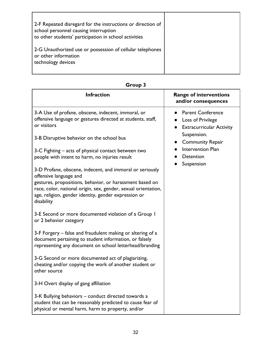| 2-F Repeated disregard for the instructions or direction of<br>school personnel causing interruption<br>to other students' participation in school activities |  |
|---------------------------------------------------------------------------------------------------------------------------------------------------------------|--|
| 2-G Unauthorized use or possession of cellular telephones<br>or other information<br>technology devices                                                       |  |

| <b>Infraction</b>                                                                                                                                                                                                                                                                      | <b>Range of interventions</b><br>and/or consequences                               |
|----------------------------------------------------------------------------------------------------------------------------------------------------------------------------------------------------------------------------------------------------------------------------------------|------------------------------------------------------------------------------------|
| 3-A Use of profane, obscene, indecent, immoral, or<br>offensive language or gestures directed at students, staff,<br>or visitors                                                                                                                                                       | <b>Parent Conference</b><br>• Loss of Privilege<br><b>Extracurricular Activity</b> |
| 3-B Disruptive behavior on the school bus                                                                                                                                                                                                                                              | Suspension.<br><b>Community Repair</b>                                             |
| 3-C Fighting – acts of physical contact between two<br>people with intent to harm, no injuries result                                                                                                                                                                                  | Intervention Plan<br>Detention<br>Suspension                                       |
| 3-D Profane, obscene, indecent, and immoral or seriously<br>offensive language and<br>gestures, propositions, behavior, or harassment based on<br>race, color, national origin, sex, gender, sexual orientation,<br>age, religion, gender identity, gender expression or<br>disability |                                                                                    |
| 3-E Second or more documented violation of a Group 1<br>or 2 behavior category                                                                                                                                                                                                         |                                                                                    |
| 3-F Forgery – false and fraudulent making or altering of a<br>document pertaining to student information, or falsely<br>representing any document on school letterhead/branding                                                                                                        |                                                                                    |
| 3-G Second or more documented act of plagiarizing,<br>cheating and/or copying the work of another student or<br>other source                                                                                                                                                           |                                                                                    |
| 3-H Overt display of gang affiliation                                                                                                                                                                                                                                                  |                                                                                    |
| 3-K Bullying behaviors - conduct directed towards a<br>student that can be reasonably predicted to cause fear of<br>physical or mental harm, harm to property, and/or                                                                                                                  |                                                                                    |

**Group 3**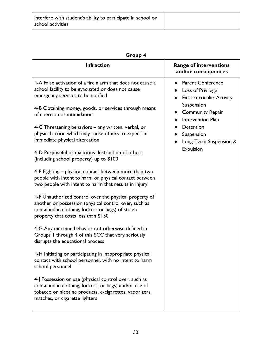| roun |  |
|------|--|
|------|--|

|                                                                                                                                                                                                                                                                                                                                                                                                                                                                                                                                                                                                                                                                                                                                                                                                                                                                                                                                                                                                                                                                                                                                                                                                                                                                                                                                                                                                                                         | • Parent Conference                                                                                                                                                                         |
|-----------------------------------------------------------------------------------------------------------------------------------------------------------------------------------------------------------------------------------------------------------------------------------------------------------------------------------------------------------------------------------------------------------------------------------------------------------------------------------------------------------------------------------------------------------------------------------------------------------------------------------------------------------------------------------------------------------------------------------------------------------------------------------------------------------------------------------------------------------------------------------------------------------------------------------------------------------------------------------------------------------------------------------------------------------------------------------------------------------------------------------------------------------------------------------------------------------------------------------------------------------------------------------------------------------------------------------------------------------------------------------------------------------------------------------------|---------------------------------------------------------------------------------------------------------------------------------------------------------------------------------------------|
| 4-A False activation of a fire alarm that does not cause a<br>school facility to be evacuated or does not cause<br>$\bullet$<br>emergency services to be notified<br>$\bullet$<br>4-B Obtaining money, goods, or services through means<br>$\bullet$<br>of coercion or intimidation<br>4-C Threatening behaviors – any written, verbal, or<br>physical action which may cause others to expect an<br>immediate physical altercation<br>4-D Purposeful or malicious destruction of others<br>(including school property) up to \$100<br>4-E Fighting – physical contact between more than two<br>people with intent to harm or physical contact between<br>two people with intent to harm that results in injury<br>4-F Unauthorized control over the physical property of<br>another or possession (physical control over, such as<br>contained in clothing, lockers or bags) of stolen<br>property that costs less than \$150<br>4-G Any extreme behavior not otherwise defined in<br>Groups 1 through 4 of this SCC that very seriously<br>disrupts the educational process<br>4-H Initiating or participating in inappropriate physical<br>contact with school personnel, with no intent to harm<br>school personnel<br>4-J Possession or use (physical control over, such as<br>contained in clothing, lockers, or bags) and/or use of<br>tobacco or nicotine products, e-cigarettes, vaporizers,<br>matches, or cigarette lighters | Loss of Privilege<br><b>Extracurricular Activity</b><br>Suspension<br><b>Community Repair</b><br><b>Intervention Plan</b><br>Detention<br>Suspension<br>Long-Term Suspension &<br>Expulsion |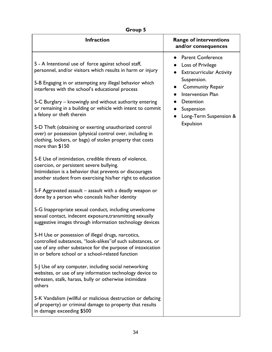| Group 5                                                                                                                                                                                                                                                                                                                                                                                                                                                                                                                                                                                                                                                                                                                                                                                                                                                                                                                                                                                                                                                                                                                                                                                                                                                                                                                                                                                                                                                                                                                                                                                                                    |                                                                                                                                                                                                                   |  |  |
|----------------------------------------------------------------------------------------------------------------------------------------------------------------------------------------------------------------------------------------------------------------------------------------------------------------------------------------------------------------------------------------------------------------------------------------------------------------------------------------------------------------------------------------------------------------------------------------------------------------------------------------------------------------------------------------------------------------------------------------------------------------------------------------------------------------------------------------------------------------------------------------------------------------------------------------------------------------------------------------------------------------------------------------------------------------------------------------------------------------------------------------------------------------------------------------------------------------------------------------------------------------------------------------------------------------------------------------------------------------------------------------------------------------------------------------------------------------------------------------------------------------------------------------------------------------------------------------------------------------------------|-------------------------------------------------------------------------------------------------------------------------------------------------------------------------------------------------------------------|--|--|
| <b>Infraction</b>                                                                                                                                                                                                                                                                                                                                                                                                                                                                                                                                                                                                                                                                                                                                                                                                                                                                                                                                                                                                                                                                                                                                                                                                                                                                                                                                                                                                                                                                                                                                                                                                          | <b>Range of interventions</b><br>and/or consequences                                                                                                                                                              |  |  |
| 5 - A Intentional use of force against school staff,<br>personnel, and/or visitors which results in harm or injury<br>5-B Engaging in or attempting any illegal behavior which<br>interferes with the school's educational process<br>5-C Burglary – knowingly and without authority entering<br>or remaining in a building or vehicle with intent to commit<br>a felony or theft therein<br>5-D Theft (obtaining or exerting unauthorized control<br>over) or possession (physical control over, including in<br>clothing, lockers, or bags) of stolen property that costs<br>more than \$150<br>5-E Use of intimidation, credible threats of violence,<br>coercion, or persistent severe bullying.<br>Intimidation is a behavior that prevents or discourages<br>another student from exercising his/her right to education<br>5-F Aggravated assault – assault with a deadly weapon or<br>done by a person who conceals his/her identity<br>5-G Inappropriate sexual conduct, including unwelcome<br>sexual contact, indecent exposure, transmitting sexually<br>suggestive images through information technology devices<br>5-H Use or possession of illegal drugs, narcotics,<br>controlled substances, "look-alikes" of such substances, or<br>use of any other substance for the purpose of intoxication<br>in or before school or a school-related function<br>5-J Use of any computer, including social networking<br>websites, or use of any information technology device to<br>threaten, stalk, harass, bully or otherwise intimidate<br>others<br>5-K Vandalism (willful or malicious destruction or defacing | <b>Parent Conference</b><br>Loss of Privilege<br><b>Extracurricular Activity</b><br>Suspension.<br><b>Community Repair</b><br>Intervention Plan<br>Detention<br>Suspension<br>Long-Term Suspension &<br>Expulsion |  |  |
| of property) or criminal damage to property that results<br>in damage exceeding \$500                                                                                                                                                                                                                                                                                                                                                                                                                                                                                                                                                                                                                                                                                                                                                                                                                                                                                                                                                                                                                                                                                                                                                                                                                                                                                                                                                                                                                                                                                                                                      |                                                                                                                                                                                                                   |  |  |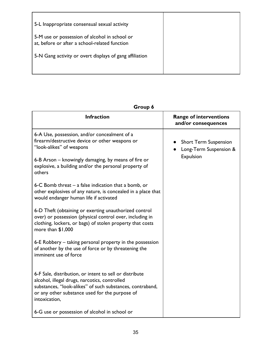| 5-L Inappropriate consensual sexual activity                                                   |  |
|------------------------------------------------------------------------------------------------|--|
| 5-M use or possession of alcohol in school or<br>at, before or after a school-related function |  |
| 5-N Gang activity or overt displays of gang affiliation                                        |  |
|                                                                                                |  |

# **Group 6**

| <b>Infraction</b>                                                                                                                                                                                                                        | <b>Range of interventions</b><br>and/or consequences |
|------------------------------------------------------------------------------------------------------------------------------------------------------------------------------------------------------------------------------------------|------------------------------------------------------|
| 6-A Use, possession, and/or concealment of a<br>firearm/destructive device or other weapons or<br>"look-alikes" of weapons                                                                                                               | • Short Term Suspension<br>Long-Term Suspension &    |
| 6-B Arson – knowingly damaging, by means of fire or<br>explosive, a building and/or the personal property of<br>others                                                                                                                   | Expulsion                                            |
| 6-C Bomb threat – a false indication that a bomb, or<br>other explosives of any nature, is concealed in a place that<br>would endanger human life if activated                                                                           |                                                      |
| 6-D Theft (obtaining or exerting unauthorized control<br>over) or possession (physical control over, including in<br>clothing, lockers, or bags) of stolen property that costs<br>more than \$1,000                                      |                                                      |
| 6-E Robbery – taking personal property in the possession<br>of another by the use of force or by threatening the<br>imminent use of force                                                                                                |                                                      |
| 6-F Sale, distribution, or intent to sell or distribute<br>alcohol, illegal drugs, narcotics, controlled<br>substances, "look-alikes" of such substances, contraband,<br>or any other substance used for the purpose of<br>intoxication, |                                                      |
| 6-G use or possession of alcohol in school or                                                                                                                                                                                            |                                                      |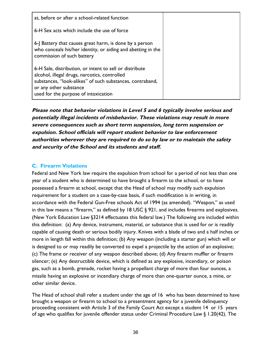| at, before or after a school-related function                                                                                                                                                                                           |  |
|-----------------------------------------------------------------------------------------------------------------------------------------------------------------------------------------------------------------------------------------|--|
| 6-H Sex acts which include the use of force                                                                                                                                                                                             |  |
| 6-J Battery that causes great harm, is done by a person<br>who conceals his/her identity, or aiding and abetting in the<br>commission of such battery                                                                                   |  |
| 6-H Sale, distribution, or intent to sell or distribute<br>alcohol, illegal drugs, narcotics, controlled<br>substances, "look-alikes" of such substances, contraband,<br>or any other substance<br>used for the purpose of intoxication |  |

**Please note that behavior violations in Level 5 and 6 typically involve serious and potentially illegal incidents of misbehavior. These violations may result in more severe consequences such as short term suspension, long term suspension or expulsion. School officials will report student behavior to law enforcement authorities wherever they are required to do so by law or to maintain the safety and security of the School and its students and staff.**

# **C. Firearm Violations**

Federal and New York law require the expulsion from school for a period of not less than one year of a student who is determined to have brought a firearm to the school, or to have possessed a firearm at school, except that the Head of school may modify such expulsion requirement for a student on a case-by-case basis, if such modification is in writing, in accordance with the Federal Gun-Free schools Act of 1994 (as amended). "Weapon," as used in this law means a "firearm," as defined by 18 USC § 921, and includes firearms and explosives. (New York Education Law §3214 effectuates this federal law.) The following are included within this definition: (a) Any device, instrument, material, or substance that is used for or is readily capable of causing death or serious bodily injury. Knives with a blade of two and a half inches or more in length fall within this definition; (b) Any weapon (including a starter gun) which will or is designed to or may readily be converted to expel a projectile by the action of an explosive; (c) The frame or receiver of any weapon described above; (d) Any firearm muffler or firearm silencer; (e) Any destructible device, which is defined as any explosive, incendiary, or poison gas, such as a bomb, grenade, rocket having a propellant charge of more than four ounces, a missile having an explosive or incendiary charge of more than one-quarter ounce, a mine, or other similar device.

The Head of school shall refer a student under the age of 16 who has been determined to have brought a weapon or firearm to school to a presentment agency for a juvenile delinquency proceeding consistent with Article 3 of the Family Court Act except a student 14 or 15 years of age who qualifies for juvenile offender status under Criminal Procedure Law § 1.20(42). The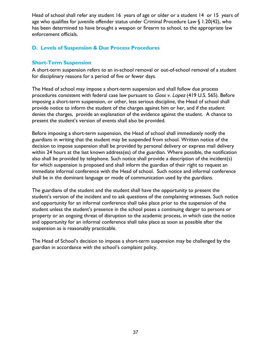Head of school shall refer any student 16 years of age or older or a student 14 or 15 years of age who qualifies for juvenile offender status under Criminal Procedure Law § 1.20(42), who has been determined to have brought a weapon or firearm to school, to the appropriate law enforcement officials.

# **D. Levels of Suspension & Due Process Procedures**

# **Short-Term Suspension**

A short-term suspension refers to an in-school removal or out-of-school removal of a student for disciplinary reasons for a period of five or fewer days.

The Head of school may impose a short-term suspension and shall follow due process procedures consistent with federal case law pursuant to Goss v. Lopez (419 U.S. 565). Before imposing a short-term suspension, or other, less serious discipline, the Head of school shall provide notice to inform the student of the charges against him or her, and if the student denies the charges, provide an explanation of the evidence against the student. A chance to present the student's version of events shall also be provided.

Before imposing a short-term suspension, the Head of school shall immediately notify the guardians in writing that the student may be suspended from school. Written notice of the decision to impose suspension shall be provided by personal delivery or express mail delivery within 24 hours at the last known address(es) of the guardian. Where possible, the notification also shall be provided by telephone. Such notice shall provide a description of the incident(s) for which suspension is proposed and shall inform the guardian of their right to request an immediate informal conference with the Head of school. Such notice and informal conference shall be in the dominant language or mode of communication used by the guardians.

The guardians of the student and the student shall have the opportunity to present the student's version of the incident and to ask questions of the complaining witnesses. Such notice and opportunity for an informal conference shall take place prior to the suspension of the student unless the student's presence in the school poses a continuing danger to persons or property or an ongoing threat of disruption to the academic process, in which case the notice and opportunity for an informal conference shall take place as soon as possible after the suspension as is reasonably practicable.

The Head of School's decision to impose a short-term suspension may be challenged by the guardian in accordance with the school's complaint policy.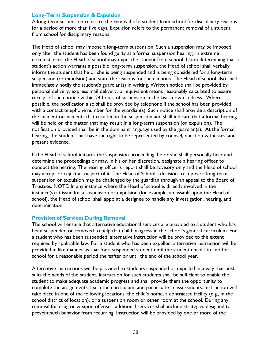# **Long-Term Suspension & Expulsion**

A long-term suspension refers to the removal of a student from school for disciplinary reasons for a period of more than five days. Expulsion refers to the permanent removal of a student from school for disciplinary reasons.

The Head of school may impose a long-term suspension. Such a suspension may be imposed only after the student has been found guilty at a formal suspension hearing. In extreme circumstances, the Head of school may expel the student from school. Upon determining that a student's action warrants a possible long-term suspension, the Head of school shall verbally inform the student that he or she is being suspended and is being considered for a long-term suspension (or expulsion) and state the reasons for such actions. The Head of school also shall immediately notify the student's guardian(s) in writing. Written notice shall be provided by personal delivery, express mail delivery, or equivalent means reasonably calculated to assure receipt of such notice within 24 hours of suspension at the last known address. Where possible, the notification also shall be provided by telephone if the school has been provided with a contact telephone number for the guardian(s). Such notice shall provide a description of the incident or incidents that resulted in the suspension and shall indicate that a formal hearing will be held on the matter that may result in a long-term suspension (or expulsion). The notification provided shall be in the dominant language used by the guardian(s). At the formal hearing, the student shall have the right to be represented by counsel, question witnesses, and present evidence.

If the Head of school initiates the suspension proceeding, he or she shall personally hear and determine the proceedings or may, in his or her discretion, designate a hearing officer to conduct the hearing. The hearing officer's report shall be advisory only and the Head of school may accept or reject all or part of it. The Head of School's decision to impose a long-term suspension or expulsion may be challenged by the guardian through an appeal to the Board of Trustees. NOTE: In any instance where the Head of school is directly involved in the instance(s) at issue for a suspension or expulsion (for example, an assault upon the Head of school), the Head of school shall appoint a designee to handle any investigation, hearing, and determination.

## **Provision of Services During Removal**

The school will ensure that alternative educational services are provided to a student who has been suspended or removed to help that child progress in the school's general curriculum. For a student who has been suspended, alternative instruction will be provided to the extent required by applicable law. For a student who has been expelled, alternative instruction will be provided in like manner as that for a suspended student until the student enrolls in another school for a reasonable period thereafter or until the end of the school year.

Alternative instructions will be provided to students suspended or expelled in a way that best suits the needs of the student. Instruction for such students shall be sufficient to enable the student to make adequate academic progress and shall provide them the opportunity to complete the assignments, learn the curriculum, and participate in assessments. Instruction will take place in one of the following locations: the child's home, a contracted facility (e.g., in the school district of location), or a suspension room or other room at the school. During any removal for drug or weapon offenses, additional services shall include strategies designed to prevent such behavior from recurring. Instruction will be provided by one or more of the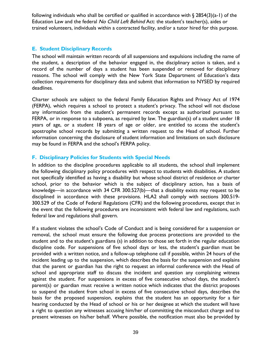following individuals who shall be certified or qualified in accordance with  $\S$  2854(3)(a-1) of the Education Law and the federal No Child Left Behind Act: the student's teacher(s), aides or trained volunteers, individuals within a contracted facility, and/or a tutor hired for this purpose.

# **E. Student Disciplinary Records**

The school will maintain written records of all suspensions and expulsions including the name of the student, a description of the behavior engaged in, the disciplinary action is taken, and a record of the number of days a student has been suspended or removed for disciplinary reasons. The school will comply with the New York State Department of Education's data collection requirements for disciplinary data and submit that information to NYSED by required deadlines.

Charter schools are subject to the federal Family Education Rights and Privacy Act of 1974 (FERPA), which requires a school to protect a student's privacy. The school will not disclose any information from the student's permanent records except as authorized pursuant to FERPA, or in response to a subpoena, as required by law. The guardian(s) of a student under 18 years of age, or a student 18 years of age or older, are entitled to access the student's apostrophe school records by submitting a written request to the Head of school. Further information concerning the disclosure of student information and limitations on such disclosure may be found in FERPA and the school's FERPA policy.

# **F. Disciplinary Policies for Students with Special Needs**

In addition to the discipline procedures applicable to all students, the school shall implement the following disciplinary policy procedures with respect to students with disabilities. A student not specifically identified as having a disability but whose school district of residence or charter school, prior to the behavior which is the subject of disciplinary action, has a basis of knowledge—in accordance with 34 CFR 300.527(b)—that a disability exists may request to be disciplined in accordance with these provisions. HLA2 shall comply with sections 300.519- 300.529 of the Code of Federal Regulations (CFR) and the following procedures, except that in the event that the following procedures are inconsistent with federal law and regulations, such federal law and regulations shall govern.

If a student violates the school's Code of Conduct and is being considered for a suspension or removal, the school must ensure the following due process protections are provided to the student and to the student's guardians (s) in addition to those set forth in the regular education discipline code. For suspensions of five school days or less, the student's guardian must be provided with a written notice, and a follow-up telephone call if possible, within 24 hours of the incident leading up to the suspension, which describes the basis for the suspension and explains that the parent or guardian has the right to request an informal conference with the Head of school and appropriate staff to discuss the incident and question any complaining witness against the student. For suspensions in excess of five consecutive school days, the student's parent(s) or guardian must receive a written notice which indicates that the district proposes to suspend the student from school in excess of five consecutive school days, describes the basis for the proposed suspension, explains that the student has an opportunity for a fair hearing conducted by the Head of school or his or her designee at which the student will have a right to question any witnesses accusing him/her of committing the misconduct charge and to present witnesses on his/her behalf. Where possible, the notification must also be provided by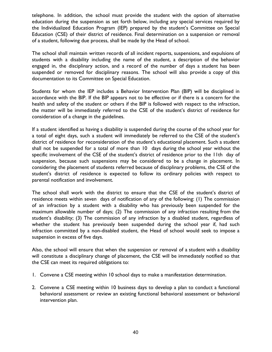telephone. In addition, the school must provide the student with the option of alternative education during the suspension as set forth below, including any special services required by the Individualized Education Program (IEP) prepared by the student's Committee on Special Education (CSE) of their district of residence. Final determination on a suspension or removal of a student, following due process, shall be made by the Head of school.

The school shall maintain written records of all incident reports, suspensions, and expulsions of students with a disability including the name of the student, a description of the behavior engaged in, the disciplinary action, and a record of the number of days a student has been suspended or removed for disciplinary reasons. The school will also provide a copy of this documentation to its Committee on Special Education.

Students for whom the IEP includes a Behavior Intervention Plan (BIP) will be disciplined in accordance with the BIP. If the BIP appears not to be effective or if there is a concern for the health and safety of the student or others if the BIP is followed with respect to the infraction, the matter will be immediately referred to the CSE of the student's district of residence for consideration of a change in the guidelines.

If a student identified as having a disability is suspended during the course of the school year for a total of eight days, such a student will immediately be referred to the CSE of the student's district of residence for reconsideration of the student's educational placement. Such a student shall not be suspended for a total of more than 10 days during the school year without the specific involvement of the CSE of the student's district of residence prior to the 11th day of suspension, because such suspensions may be considered to be a change in placement. In considering the placement of students referred because of disciplinary problems, the CSE of the student's district of residence is expected to follow its ordinary policies with respect to parental notification and involvement.

The school shall work with the district to ensure that the CSE of the student's district of residence meets within seven days of notification of any of the following: (1) The commission of an infraction by a student with a disability who has previously been suspended for the maximum allowable number of days; (2) The commission of any infraction resulting from the student's disability; (3) The commission of any infraction by a disabled student, regardless of whether the student has previously been suspended during the school year if, had such infraction committed by a non-disabled student, the Head of school would seek to impose a suspension in excess of five days.

Also, the school will ensure that when the suspension or removal of a student with a disability will constitute a disciplinary change of placement, the CSE will be immediately notified so that the CSE can meet its required obligations to:

- 1. Convene a CSE meeting within 10 school days to make a manifestation determination.
- 2. Convene a CSE meeting within 10 business days to develop a plan to conduct a functional behavioral assessment or review an existing functional behavioral assessment or behavioral intervention plan.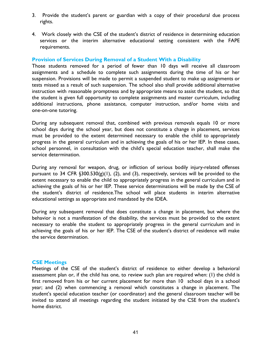- 3. Provide the student's parent or guardian with a copy of their procedural due process rights.
- 4. Work closely with the CSE of the student's district of residence in determining education services or the interim alternative educational setting consistent with the FAPE requirements.

## **Provision of Services During Removal of a Student With a Disability**

Those students removed for a period of fewer than 10 days will receive all classroom assignments and a schedule to complete such assignments during the time of his or her suspension. Provisions will be made to permit a suspended student to make up assignments or tests missed as a result of such suspension. The school also shall provide additional alternative instruction with reasonable promptness and by appropriate means to assist the student, so that the student is given full opportunity to complete assignments and master curriculum, including additional instructions, phone assistance, computer instruction, and/or home visits and one-on-one tutoring.

During any subsequent removal that, combined with previous removals equals 10 or more school days during the school year, but does not constitute a change in placement, services must be provided to the extent determined necessary to enable the child to appropriately progress in the general curriculum and in achieving the goals of his or her IEP. In these cases, school personnel, in consultation with the child's special education teacher, shall make the service determination.

During any removal for weapon, drug, or infliction of serious bodily injury-related offenses pursuant to 34 CFR  $\S 300.530(g)(1)$ , (2), and (3), respectively, services will be provided to the extent necessary to enable the child to appropriately progress in the general curriculum and in achieving the goals of his or her IEP. These service determinations will be made by the CSE of the student's district of residence.The school will place students in interim alternative educational settings as appropriate and mandated by the IDEA.

During any subsequent removal that does constitute a change in placement, but where the behavior is not a manifestation of the disability, the services must be provided to the extent necessary to enable the student to appropriately progress in the general curriculum and in achieving the goals of his or her IEP. The CSE of the student's district of residence will make the service determination.

## **CSE Meetings**

Meetings of the CSE of the student's district of residence to either develop a behavioral assessment plan or, if the child has one, to review such plan are required when: (1) the child is first removed from his or her current placement for more than 10 school days in a school year; and (2) when commencing a removal which constitutes a change in placement. The student's special education teacher (or coordinator) and the general classroom teacher will be invited to attend all meetings regarding the student initiated by the CSE from the student's home district.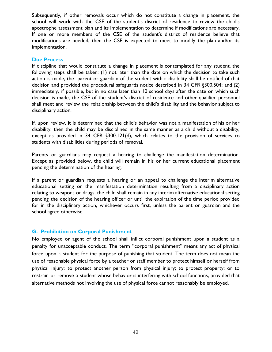Subsequently, if other removals occur which do not constitute a change in placement, the school will work with the CSE of the student's district of residence to review the child's apostrophe assessment plan and its implementation to determine if modifications are necessary. If one or more members of the CSE of the student's district of residence believe that modifications are needed, then the CSE is expected to meet to modify the plan and/or its implementation.

## **Due Process**

If discipline that would constitute a change in placement is contemplated for any student, the following steps shall be taken: (1) not later than the date on which the decision to take such action is made, the parent or guardian of the student with a disability shall be notified of that decision and provided the procedural safeguards notice described in 34 CFR §300.504; and (2) immediately, if possible, but in no case later than 10 school days after the date on which such decision is made, the CSE of the student's district of residence and other qualified personnel shall meet and review the relationship between the child's disability and the behavior subject to disciplinary action.

If, upon review, it is determined that the child's behavior was not a manifestation of his or her disability, then the child may be disciplined in the same manner as a child without a disability, except as provided in 34 CFR §300.121(d), which relates to the provision of services to students with disabilities during periods of removal.

Parents or guardians may request a hearing to challenge the manifestation determination. Except as provided below, the child will remain in his or her current educational placement pending the determination of the hearing.

If a parent or guardian requests a hearing or an appeal to challenge the interim alternative educational setting or the manifestation determination resulting from a disciplinary action relating to weapons or drugs, the child shall remain in any interim alternative educational setting pending the decision of the hearing officer or until the expiration of the time period provided for in the disciplinary action, whichever occurs first, unless the parent or guardian and the school agree otherwise.

## **G. Prohibition on Corporal Punishment**

No employee or agent of the school shall inflict corporal punishment upon a student as a penalty for unacceptable conduct. The term "corporal punishment" means any act of physical force upon a student for the purpose of punishing that student. The term does not mean the use of reasonable physical force by a teacher or staff member to protect himself or herself from physical injury; to protect another person from physical injury; to protect property; or to restrain or remove a student whose behavior is interfering with school functions, provided that alternative methods not involving the use of physical force cannot reasonably be employed.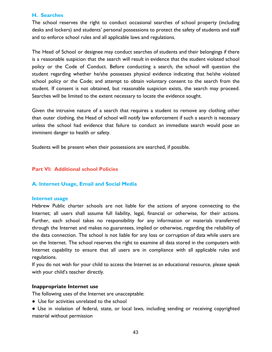#### **H. Searches**

The school reserves the right to conduct occasional searches of school property (including desks and lockers) and students' personal possessions to protect the safety of students and staff and to enforce school rules and all applicable laws and regulations.

The Head of School or designee may conduct searches of students and their belongings if there is a reasonable suspicion that the search will result in evidence that the student violated school policy or the Code of Conduct. Before conducting a search, the school will question the student regarding whether he/she possesses physical evidence indicating that he/she violated school policy or the Code; and attempt to obtain voluntary consent to the search from the student. If consent is not obtained, but reasonable suspicion exists, the search may proceed. Searches will be limited to the extent necessary to locate the evidence sought.

Given the intrusive nature of a search that requires a student to remove any clothing other than outer clothing, the Head of school will notify law enforcement if such a search is necessary unless the school had evidence that failure to conduct an immediate search would pose an imminent danger to health or safety.

Students will be present when their possessions are searched, if possible.

## **Part VI: Additional school Policies**

## **A. Internet Usage, Email and Social Media**

#### **Internet usage**

Hebrew Public charter schools are not liable for the actions of anyone connecting to the Internet; all users shall assume full liability, legal, financial or otherwise, for their actions. Further, each school takes no responsibility for any information or materials transferred through the Internet and makes no guarantees, implied or otherwise, regarding the reliability of the data connection. The school is not liable for any loss or corruption of data while users are on the Internet. The school reserves the right to examine all data stored in the computers with Internet capability to ensure that all users are in compliance with all applicable rules and regulations.

If you do not wish for your child to access the Internet as an educational resource, please speak with your child's teacher directly.

#### **Inappropriate Internet use**

The following uses of the Internet are unacceptable:

- Use for activities unrelated to the school
- Use in violation of federal, state, or local laws, including sending or receiving copyrighted material without permission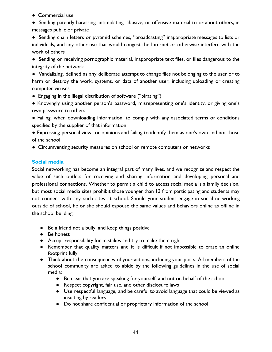- Commercial use
- Sending patently harassing, intimidating, abusive, or offensive material to or about others, in messages public or private

● Sending chain letters or pyramid schemes, "broadcasting" inappropriate messages to lists or individuals, and any other use that would congest the Internet or otherwise interfere with the work of others

● Sending or receiving pornographic material, inappropriate text files, or files dangerous to the integrity of the network

● Vandalizing, defined as any deliberate attempt to change files not belonging to the user or to harm or destroy the work, systems, or data of another user, including uploading or creating computer viruses

- Engaging in the illegal distribution of software ("pirating")
- Knowingly using another person's password, misrepresenting one's identity, or giving one's own password to others
- Failing, when downloading information, to comply with any associated terms or conditions specified by the supplier of that information
- Expressing personal views or opinions and failing to identify them as one's own and not those of the school
- Circumventing security measures on school or remote computers or networks

# **Social media**

Social networking has become an integral part of many lives, and we recognize and respect the value of such outlets for receiving and sharing information and developing personal and professional connections. Whether to permit a child to access social media is a family decision, but most social media sites prohibit those younger than 13 from participating and students may not connect with any such sites at school. Should your student engage in social networking outside of school, he or she should espouse the same values and behaviors online as offline in the school building:

- Be a friend not a bully, and keep things positive
- Be honest
- Accept responsibility for mistakes and try to make them right
- Remember that quality matters and it is difficult if not impossible to erase an online footprint fully
- Think about the consequences of your actions, including your posts. All members of the school community are asked to abide by the following guidelines in the use of social media:
	- Be clear that you are speaking for yourself, and not on behalf of the school
	- Respect copyright, fair use, and other disclosure laws
	- Use respectful language, and be careful to avoid language that could be viewed as insulting by readers
	- Do not share confidential or proprietary information of the school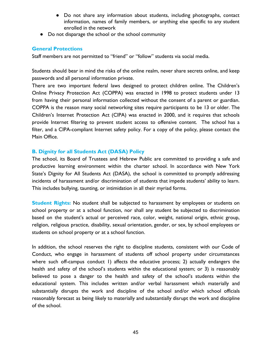- Do not share any information about students, including photographs, contact information, names of family members, or anything else specific to any student enrolled in the network
- Do not disparage the school or the school community

# **General Protections**

Staff members are not permitted to "friend" or "follow" students via social media.

Students should bear in mind the risks of the online realm, never share secrets online, and keep passwords and all personal information private.

There are two important federal laws designed to protect children online. The Children's Online Privacy Protection Act (COPPA) was enacted in 1998 to protect students under 13 from having their personal information collected without the consent of a parent or guardian. COPPA is the reason many social networking sites require participants to be 13 or older. The Children's Internet Protection Act (CIPA) was enacted in 2000, and it requires that schools provide Internet filtering to prevent student access to offensive content. The school has a filter, and a CIPA-compliant Internet safety policy. For a copy of the policy, please contact the Main Office.

# **B. Dignity for all Students Act (DASA) Policy**

The school, its Board of Trustees and Hebrew Public are committed to providing a safe and productive learning environment within the charter school. In accordance with New York State's Dignity for All Students Act (DASA), the school is committed to promptly addressing incidents of harassment and/or discrimination of students that impede students' ability to learn. This includes bullying, taunting, or intimidation in all their myriad forms.

**Student Rights:** No student shall be subjected to harassment by employees or students on school property or at a school function, nor shall any student be subjected to discrimination based on the student's actual or perceived race, color, weight, national origin, ethnic group, religion, religious practice, disability, sexual orientation, gender, or sex, by school employees or students on school property or at a school function.

In addition, the school reserves the right to discipline students, consistent with our Code of Conduct, who engage in harassment of students off school property under circumstances where such off-campus conduct 1) affects the educative process; 2) actually endangers the health and safety of the school's students within the educational system; or 3) is reasonably believed to pose a danger to the health and safety of the school's students within the educational system. This includes written and/or verbal harassment which materially and substantially disrupts the work and discipline of the school and/or which school officials reasonably forecast as being likely to materially and substantially disrupt the work and discipline of the school.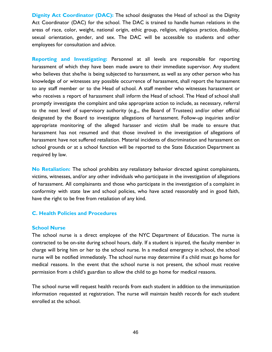**Dignity Act Coordinator (DAC):** The school designates the Head of school as the Dignity Act Coordinator (DAC) for the school. The DAC is trained to handle human relations in the areas of race, color, weight, national origin, ethic group, religion, religious practice, disability, sexual orientation, gender, and sex. The DAC will be accessible to students and other employees for consultation and advice.

**Reporting and Investigating:** Personnel at all levels are responsible for reporting harassment of which they have been made aware to their immediate supervisor. Any student who believes that she/he is being subjected to harassment, as well as any other person who has knowledge of or witnesses any possible occurrence of harassment, shall report the harassment to any staff member or to the Head of school. A staff member who witnesses harassment or who receives a report of harassment shall inform the Head of school. The Head of school shall promptly investigate the complaint and take appropriate action to include, as necessary, referral to the next level of supervisory authority (e.g.,, the Board of Trustees) and/or other official designated by the Board to investigate allegations of harassment. Follow-up inquiries and/or appropriate monitoring of the alleged harasser and victim shall be made to ensure that harassment has not resumed and that those involved in the investigation of allegations of harassment have not suffered retaliation. Material incidents of discrimination and harassment on school grounds or at a school function will be reported to the State Education Department as required by law.

**No Retaliation:** The school prohibits any retaliatory behavior directed against complainants, victims, witnesses, and/or any other individuals who participate in the investigation of allegations of harassment. All complainants and those who participate in the investigation of a complaint in conformity with state law and school policies, who have acted reasonably and in good faith, have the right to be free from retaliation of any kind.

## **C. Health Policies and Procedures**

#### **School Nurse**

The school nurse is a direct employee of the NYC Department of Education. The nurse is contracted to be on-site during school hours, daily. If a student is injured, the faculty member in charge will bring him or her to the school nurse. In a medical emergency in school, the school nurse will be notified immediately. The school nurse may determine if a child must go home for medical reasons. In the event that the school nurse is not present, the school must receive permission from a child's guardian to allow the child to go home for medical reasons.

The school nurse will request health records from each student in addition to the immunization information requested at registration. The nurse will maintain health records for each student enrolled at the school.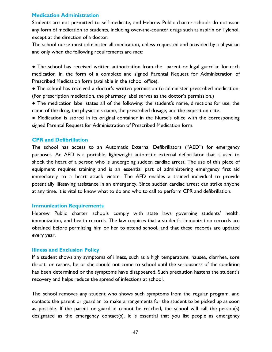## **Medication Administration**

Students are not permitted to self-medicate, and Hebrew Public charter schools do not issue any form of medication to students, including over-the-counter drugs such as aspirin or Tylenol, except at the direction of a doctor.

The school nurse must administer all medication, unless requested and provided by a physician and only when the following requirements are met:

• The school has received written authorization from the parent or legal guardian for each medication in the form of a complete and signed Parental Request for Administration of Prescribed Medication form (available in the school office).

● The school has received a doctor's written permission to administer prescribed medication. (For prescription medication, the pharmacy label serves as the doctor's permission.)

● The medication label states all of the following: the student's name, directions for use, the name of the drug, the physician's name, the prescribed dosage, and the expiration date.

● Medication is stored in its original container in the Nurse's office with the corresponding signed Parental Request for Administration of Prescribed Medication form.

#### **CPR and Defibrillation**

The school has access to an Automatic External Defibrillators ("AED") for emergency purposes. An AED is a portable, lightweight automatic external defibrillator that is used to shock the heart of a person who is undergoing sudden cardiac arrest. The use of this piece of equipment requires training and is an essential part of administering emergency first aid immediately to a heart attack victim. The AED enables a trained individual to provide potentially lifesaving assistance in an emergency. Since sudden cardiac arrest can strike anyone at any time, it is vital to know what to do and who to call to perform CPR and defibrillation.

#### **Immunization Requirements**

Hebrew Public charter schools comply with state laws governing students' health, immunization, and health records. The law requires that a student's immunization records are obtained before permitting him or her to attend school, and that these records are updated every year.

#### **Illness and Exclusion Policy**

If a student shows any symptoms of illness, such as a high temperature, nausea, diarrhea, sore throat, or rashes, he or she should not come to school until the seriousness of the condition has been determined or the symptoms have disappeared. Such precaution hastens the student's recovery and helps reduce the spread of infections at school.

The school removes any student who shows such symptoms from the regular program, and contacts the parent or guardian to make arrangements for the student to be picked up as soon as possible. If the parent or guardian cannot be reached, the school will call the person(s) designated as the emergency contact(s). It is essential that you list people as emergency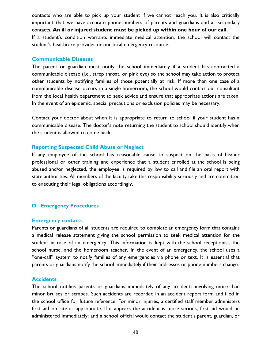contacts who are able to pick up your student if we cannot reach you. It is also critically important that we have accurate phone numbers of parents and guardians and all secondary contacts. **An ill or injured student must be picked up within one hour of our call.** If a student's condition warrants immediate medical attention, the school will contact the student's healthcare provider or our local emergency resource.

#### **Communicable Diseases**

The parent or guardian must notify the school immediately if a student has contracted a communicable disease (i.e., strep throat, or pink eye) so the school may take action to protect other students by notifying families of those potentially at risk. If more than one case of a communicable disease occurs in a single homeroom, the school would contact our consultant from the local health department to seek advice and ensure that appropriate actions are taken. In the event of an epidemic, special precautions or exclusion policies may be necessary.

Contact your doctor about when it is appropriate to return to school if your student has a communicable disease. The doctor's note returning the student to school should identify when the student is allowed to come back.

#### **Reporting Suspected Child Abuse or Neglect**

If any employee of the school has reasonable cause to suspect on the basis of his/her professional or other training and experience that a student enrolled at the school is being abused and/or neglected, the employee is required by law to call and file an oral report with state authorities. All members of the faculty take this responsibility seriously and are committed to executing their legal obligations accordingly.

#### **D. Emergency Procedures**

#### **Emergency contacts**

Parents or guardians of all students are required to complete an emergency form that contains a medical release statement giving the school permission to seek medical attention for the student in case of an emergency. This information is kept with the school receptionist, the school nurse, and the homeroom teacher. In the event of an emergency, the school uses a "one-call" system to notify families of any emergencies via phone or text. It is essential that parents or guardians notify the school immediately if their addresses or phone numbers change.

#### **Accidents**

The school notifies parents or guardians immediately of any accidents involving more than minor bruises or scrapes. Such accidents are recorded in an accident report form and filed in the school office for future reference. For minor injuries, a certified staff member administers first aid on site as appropriate. If it appears the accident is more serious, first aid would be administered immediately; and a school official would contact the student's parent, guardian, or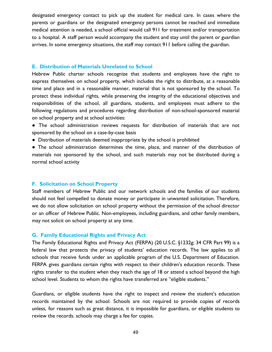designated emergency contact to pick up the student for medical care. In cases where the parents or guardians or the designated emergency persons cannot be reached and immediate medical attention is needed, a school official would call 911 for treatment and/or transportation to a hospital. A staff person would accompany the student and stay until the parent or guardian arrives. In some emergency situations, the staff may contact 911 before calling the guardian.

#### **E. Distribution of Materials Unrelated to School**

Hebrew Public charter schools recognize that students and employees have the right to express themselves on school property, which includes the right to distribute, at a reasonable time and place and in a reasonable manner, material that is not sponsored by the school. To protect these individual rights, while preserving the integrity of the educational objectives and responsibilities of the school, all guardians, students, and employees must adhere to the following regulations and procedures regarding distribution of non-school-sponsored material on school property and at school activities:

- The school administration reviews requests for distribution of materials that are not sponsored by the school on a case-by-case basis
- Distribution of materials deemed inappropriate by the school is prohibited

● The school administration determines the time, place, and manner of the distribution of materials not sponsored by the school, and such materials may not be distributed during a normal school activity

## **F. Solicitation on School Property**

Staff members of Hebrew Public and our network schools and the families of our students should not feel compelled to donate money or participate in unwanted solicitation. Therefore, we do not allow solicitation on school property without the permission of the school director or an officer of Hebrew Public. Non-employees, including guardians, and other family members, may not solicit on school property at any time.

#### **G. Family Educational Rights and Privacy Act**

The Family Educational Rights and Privacy Act (FERPA) (20 U.S.C. §1232g; 34 CFR Part 99) is a federal law that protects the privacy of students' education records. The law applies to all schools that receive funds under an applicable program of the U.S. Department of Education. FERPA gives guardians certain rights with respect to their children's education records. These rights transfer to the student when they reach the age of 18 or attend a school beyond the high school level. Students to whom the rights have transferred are "eligible students."

Guardians, or eligible students have the right to inspect and review the student's education records maintained by the school. Schools are not required to provide copies of records unless, for reasons such as great distance, it is impossible for guardians, or eligible students to review the records. schools may charge a fee for copies.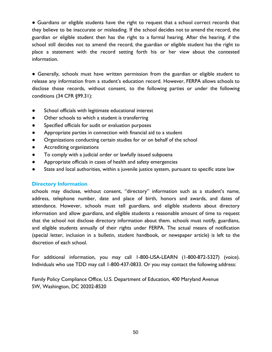● Guardians or eligible students have the right to request that a school correct records that they believe to be inaccurate or misleading. If the school decides not to amend the record, the guardian or eligible student then has the right to a formal hearing. After the hearing, if the school still decides not to amend the record, the guardian or eligible student has the right to place a statement with the record setting forth his or her view about the contested information.

● Generally, schools must have written permission from the guardian or eligible student to release any information from a student's education record. However, FERPA allows schools to disclose those records, without consent, to the following parties or under the following conditions (34 CFR §99.31):

- School officials with legitimate educational interest
- Other schools to which a student is transferring
- Specified officials for audit or evaluation purposes
- Appropriate parties in connection with financial aid to a student
- Organizations conducting certain studies for or on behalf of the school
- Accrediting organizations
- To comply with a judicial order or lawfully issued subpoena
- Appropriate officials in cases of health and safety emergencies
- State and local authorities, within a juvenile justice system, pursuant to specific state law

# **Directory Information**

schools may disclose, without consent, "directory" information such as a student's name, address, telephone number, date and place of birth, honors and awards, and dates of attendance. However, schools must tell guardians, and eligible students about directory information and allow guardians, and eligible students a reasonable amount of time to request that the school not disclose directory information about them. schools must notify, guardians, and eligible students annually of their rights under FERPA. The actual means of notification (special letter, inclusion in a bulletin, student handbook, or newspaper article) is left to the discretion of each school.

For additional information, you may call 1-800-USA-LEARN (1-800-872-5327) (voice). Individuals who use TDD may call 1-800-437-0833. Or you may contact the following address:

Family Policy Compliance Office, U.S. Department of Education, 400 Maryland Avenue SW, Washington, DC 20202-8520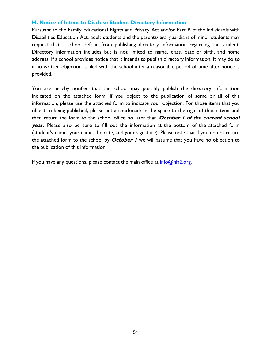## **H. Notice of Intent to Disclose Student Directory Information**

Pursuant to the Family Educational Rights and Privacy Act and/or Part B of the Individuals with Disabilities Education Act, adult students and the parents/legal guardians of minor students may request that a school refrain from publishing directory information regarding the student. Directory information includes but is not limited to name, class, date of birth, and home address. If a school provides notice that it intends to publish directory information, it may do so if no written objection is filed with the school after a reasonable period of time after notice is provided.

You are hereby notified that the school may possibly publish the directory information indicated on the attached form. If you object to the publication of some or all of this information, please use the attached form to indicate your objection. For those items that you object to being published, please put a checkmark in the space to the right of those items and then return the form to the school office no later than **October <sup>1</sup> of the current school year.** Please also be sure to fill out the information at the bottom of the attached form (student's name, your name, the date, and your signature). Please note that if you do not return the attached form to the school by **October <sup>1</sup>** we will assume that you have no objection to the publication of this information.

If you have any questions, please contact the main office at  $info@hla2.org$ .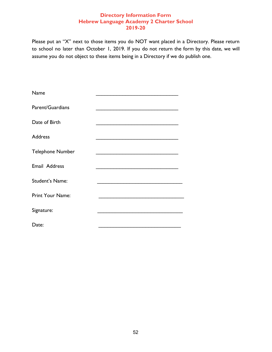# **Directory Information Form Hebrew Language Academy 2 Charter School 2019-20**

Please put an "X" next to those items you do NOT want placed in a Directory. Please return to school no later than October 1, 2019. If you do not return the form by this date, we will assume you do not object to these items being in a Directory if we do publish one.

| Name                    |                                                                                                                                                                                                                                      |
|-------------------------|--------------------------------------------------------------------------------------------------------------------------------------------------------------------------------------------------------------------------------------|
| Parent/Guardians        | .                                                                                                                                                                                                                                    |
| Date of Birth           | <u> 1989 - Johann John Harry Harry Harry Harry Harry Harry Harry Harry Harry Harry Harry Harry Harry Harry Harry Harry Harry Harry Harry Harry Harry Harry Harry Harry Harry Harry Harry Harry Harry Harry Harry Harry Harry Har</u> |
| <b>Address</b>          |                                                                                                                                                                                                                                      |
| <b>Telephone Number</b> |                                                                                                                                                                                                                                      |
| Email Address           |                                                                                                                                                                                                                                      |
| Student's Name:         | the control of the control of the control of the                                                                                                                                                                                     |
| Print Your Name:        |                                                                                                                                                                                                                                      |
| Signature:              |                                                                                                                                                                                                                                      |
| Date:                   |                                                                                                                                                                                                                                      |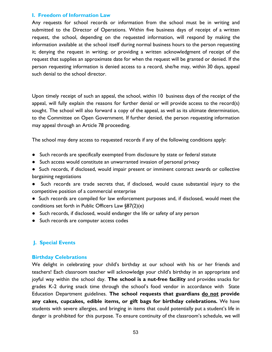## **I. Freedom of Information Law**

Any requests for school records or information from the school must be in writing and submitted to the Director of Operations. Within five business days of receipt of a written request, the school, depending on the requested information, will respond by making the information available at the school itself during normal business hours to the person requesting it; denying the request in writing; or providing a written acknowledgment of receipt of the request that supplies an approximate date for when the request will be granted or denied. If the person requesting information is denied access to a record, she/he may, within 30 days, appeal such denial to the school director.

Upon timely receipt of such an appeal, the school, within 10 business days of the receipt of the appeal, will fully explain the reasons for further denial or will provide access to the record(s) sought. The school will also forward a copy of the appeal, as well as its ultimate determination, to the Committee on Open Government. If further denied, the person requesting information may appeal through an Article 78 proceeding.

The school may deny access to requested records if any of the following conditions apply:

- Such records are specifically exempted from disclosure by state or federal statute
- Such access would constitute an unwarranted invasion of personal privacy
- Such records, if disclosed, would impair present or imminent contract awards or collective bargaining negotiations
- Such records are trade secrets that, if disclosed, would cause substantial injury to the competitive position of a commercial enterprise
- Such records are compiled for law enforcement purposes and, if disclosed, would meet the conditions set forth in Public Officers Law §87(2)(e)
- Such records, if disclosed, would endanger the life or safety of any person
- Such records are computer access codes

# **J. Special Events**

## **Birthday Celebrations**

We delight in celebrating your child's birthday at our school with his or her friends and teachers! Each classroom teacher will acknowledge your child's birthday in an appropriate and joyful way within the school day. **The school is a nut-free facility** and provides snacks for grades K-2 during snack time through the school's food vendor in accordance with State Education Department guidelines. **The school requests that guardians do not provide any cakes, cupcakes, edible items, or gift bags for birthday celebrations.** We have students with severe allergies, and bringing in items that could potentially put a student's life in danger is prohibited for this purpose. To ensure continuity of the classroom's schedule, we will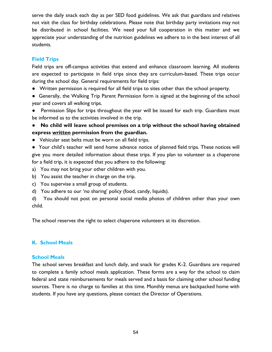serve the daily snack each day as per SED food guidelines. We ask that guardians and relatives not visit the class for birthday celebrations. Please note that birthday party invitations may not be distributed in school facilities. We need your full cooperation in this matter and we appreciate your understanding of the nutrition guidelines we adhere to in the best interest of all students.

# **Field Trips**

Field trips are off-campus activities that extend and enhance classroom learning. All students are expected to participate in field trips since they are curriculum-based. These trips occur during the school day. General requirements for field trips:

- Written permission is required for all field trips to sites other than the school property.
- Generally, the Walking Trip Parent Permission form is signed at the beginning of the school year and covers all walking trips.

● Permission Slips for trips throughout the year will be issued for each trip. Guardians must be informed as to the activities involved in the trip.

- **No child will leave school premises on a trip without the school having obtained express written permission from the guardian.**
- Vehicular seat belts must be worn on all field trips.

● Your child's teacher will send home advance notice of planned field trips. These notices will give you more detailed information about these trips. If you plan to volunteer as a chaperone for a field trip, it is expected that you adhere to the following:

- a) You may not bring your other children with you.
- b) You assist the teacher in charge on the trip.
- c) You supervise a small group of students.
- d) You adhere to our 'no sharing' policy (food, candy, liquids).

d) You should not post on personal social media photos of children other than your own child.

The school reserves the right to select chaperone volunteers at its discretion.

# **K. School Meals**

# **School Meals**

The school serves breakfast and lunch daily, and snack for grades K-2. Guardians are required to complete a family school meals application. These forms are a way for the school to claim federal and state reimbursements for meals served and a basis for claiming other school funding sources. There is no charge to families at this time. Monthly menus are backpacked home with students. If you have any questions, please contact the Director of Operations.